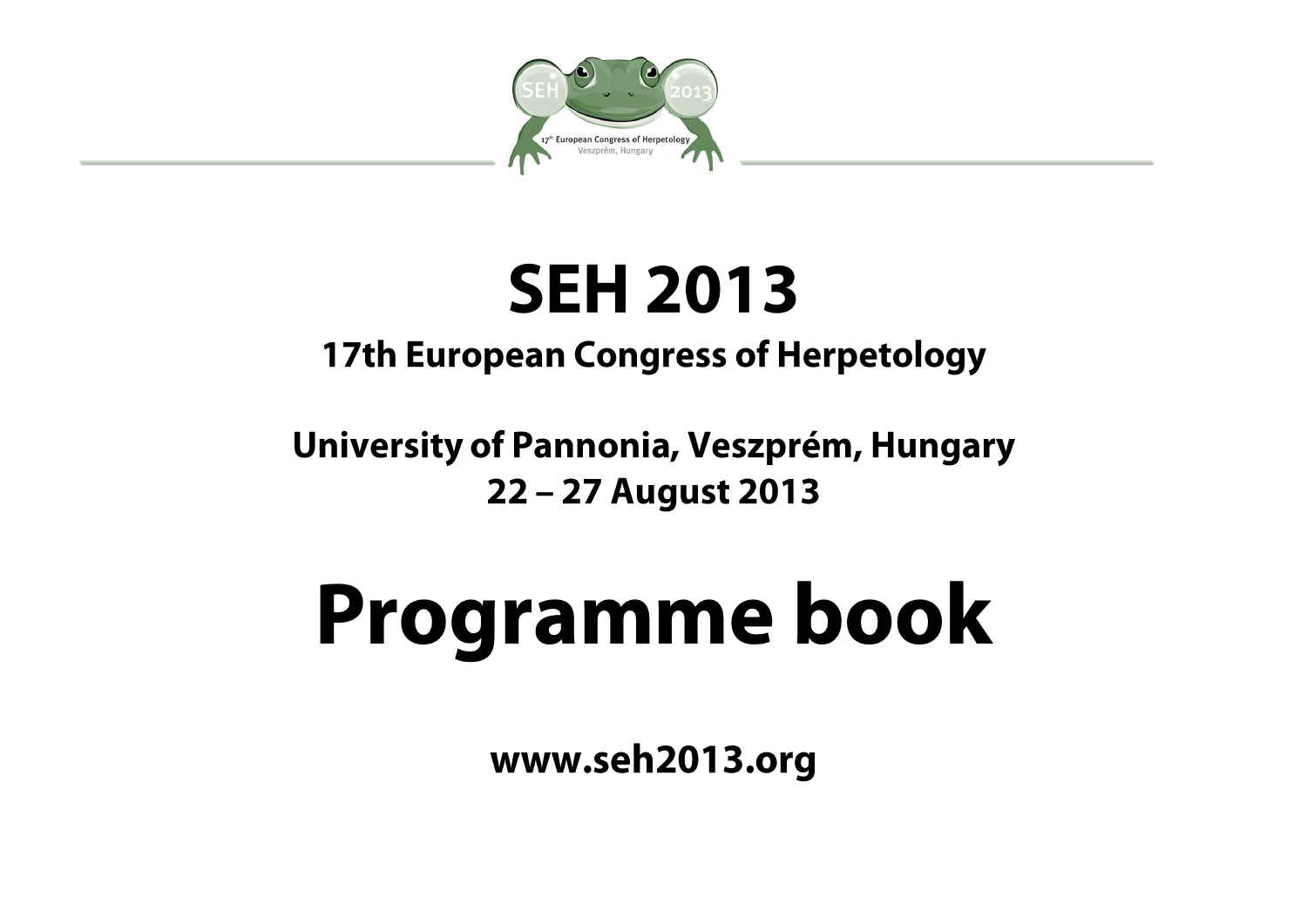

## **SEH 2013**

## **17th European Congress of Herpetology**

### University of Pannonia, Veszprém, Hungary 22 - 27 August 2013

# Programme book

www.seh2013.org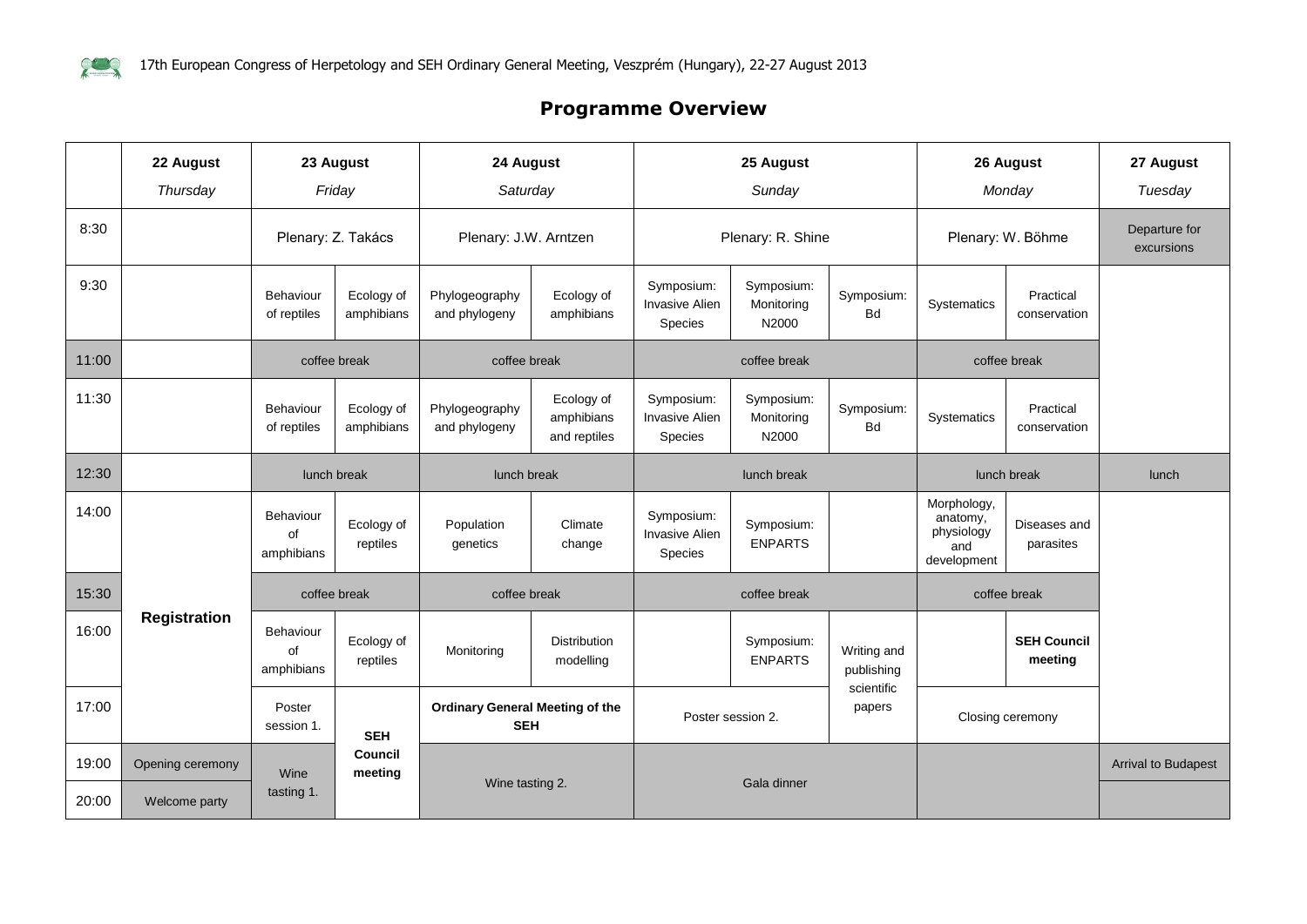

#### **Programme Overview**

|       | 22 August<br>Thursday             |                               | 23 August<br>Friday      | 24 August<br>Saturday                                |                                          |                                                | 25 August<br>Sunday               |                           |                                                             | 26 August<br>Monday           | 27 August<br>Tuesday        |
|-------|-----------------------------------|-------------------------------|--------------------------|------------------------------------------------------|------------------------------------------|------------------------------------------------|-----------------------------------|---------------------------|-------------------------------------------------------------|-------------------------------|-----------------------------|
| 8:30  |                                   |                               | Plenary: Z. Takács       | Plenary: J.W. Arntzen                                |                                          |                                                | Plenary: R. Shine                 |                           |                                                             | Plenary: W. Böhme             | Departure for<br>excursions |
| 9:30  |                                   | Behaviour<br>of reptiles      | Ecology of<br>amphibians | Phylogeography<br>and phylogeny                      | Ecology of<br>amphibians                 | Symposium:<br><b>Invasive Alien</b><br>Species | Symposium:<br>Monitoring<br>N2000 | Symposium:<br><b>Bd</b>   | Systematics                                                 | Practical<br>conservation     |                             |
| 11:00 |                                   |                               | coffee break             | coffee break                                         |                                          |                                                | coffee break                      |                           |                                                             | coffee break                  |                             |
| 11:30 |                                   | Behaviour<br>of reptiles      | Ecology of<br>amphibians | Phylogeography<br>and phylogeny                      | Ecology of<br>amphibians<br>and reptiles | Symposium:<br><b>Invasive Alien</b><br>Species | Symposium:<br>Monitoring<br>N2000 | Symposium:<br><b>Bd</b>   | Systematics                                                 | Practical<br>conservation     |                             |
| 12:30 |                                   | lunch break                   |                          | lunch break                                          |                                          |                                                | lunch break                       |                           |                                                             | lunch break                   | lunch                       |
| 14:00 |                                   | Behaviour<br>of<br>amphibians | Ecology of<br>reptiles   | Population<br>genetics                               | Climate<br>change                        | Symposium:<br><b>Invasive Alien</b><br>Species | Symposium:<br><b>ENPARTS</b>      |                           | Morphology,<br>anatomy,<br>physiology<br>and<br>development | Diseases and<br>parasites     |                             |
| 15:30 |                                   |                               | coffee break             | coffee break                                         |                                          |                                                | coffee break                      |                           |                                                             | coffee break                  |                             |
| 16:00 | <b>Registration</b>               | Behaviour<br>of<br>amphibians | Ecology of<br>reptiles   | Monitoring                                           | <b>Distribution</b><br>modelling         |                                                | Symposium:<br><b>ENPARTS</b>      | Writing and<br>publishing |                                                             | <b>SEH Council</b><br>meeting |                             |
| 17:00 |                                   | Poster<br>session 1.          | <b>SEH</b>               | <b>Ordinary General Meeting of the</b><br><b>SEH</b> |                                          |                                                | Poster session 2.                 | scientific<br>papers      |                                                             | Closing ceremony              |                             |
| 19:00 | Opening ceremony<br>Welcome party | Wine                          | Council<br>meeting       |                                                      |                                          |                                                |                                   |                           |                                                             |                               | <b>Arrival to Budapest</b>  |
| 20:00 |                                   | tasting 1.                    |                          | Wine tasting 2.                                      |                                          |                                                | Gala dinner                       |                           |                                                             |                               |                             |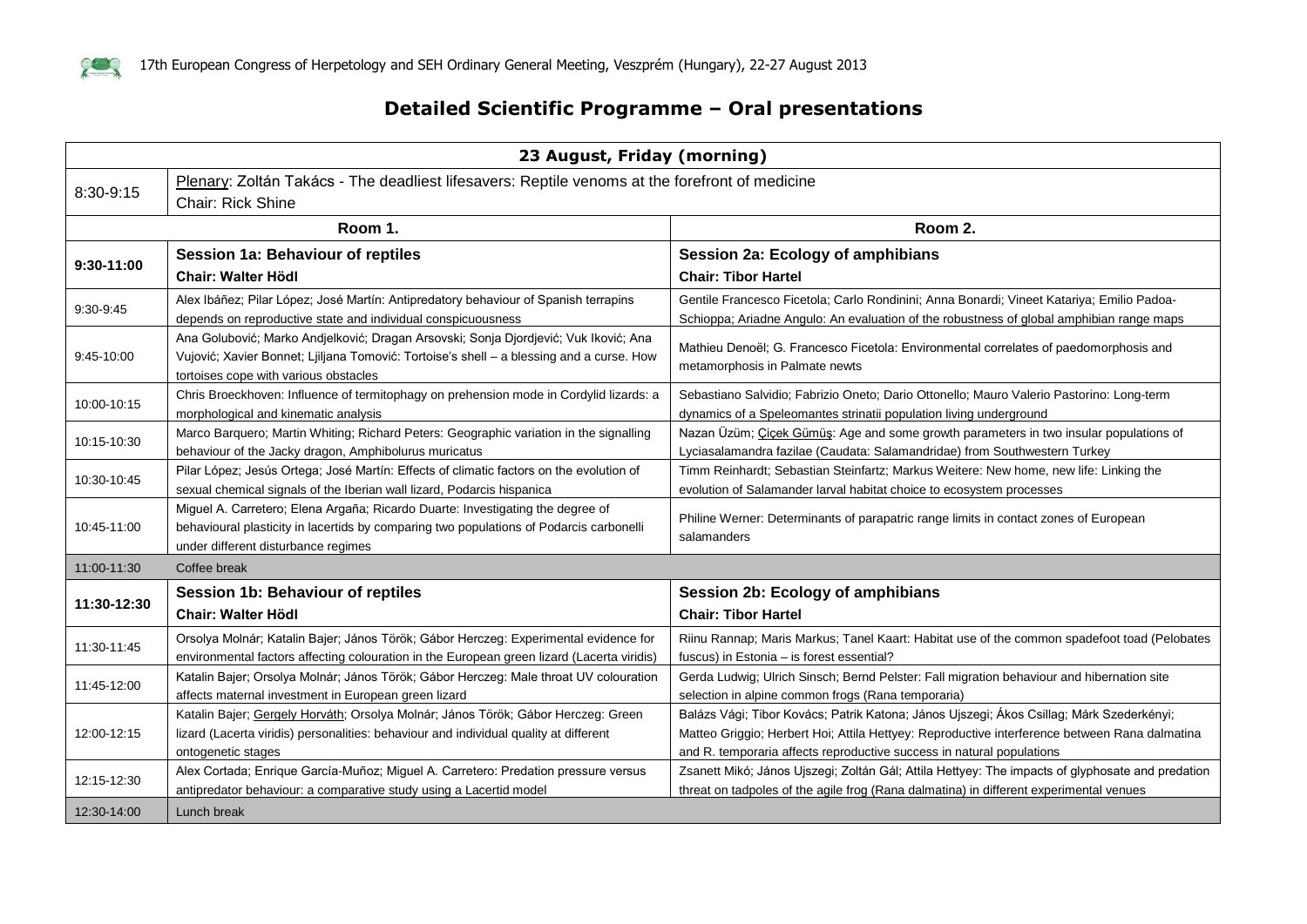

#### **Detailed Scientific Programme – Oral presentations**

| 23 August, Friday (morning) |                                                                                                                                                                                                                           |                                                                                                                                                                                                                                                                    |  |  |
|-----------------------------|---------------------------------------------------------------------------------------------------------------------------------------------------------------------------------------------------------------------------|--------------------------------------------------------------------------------------------------------------------------------------------------------------------------------------------------------------------------------------------------------------------|--|--|
| 8:30-9:15                   | Plenary: Zoltán Takács - The deadliest lifesavers: Reptile venoms at the forefront of medicine                                                                                                                            |                                                                                                                                                                                                                                                                    |  |  |
|                             | <b>Chair: Rick Shine</b>                                                                                                                                                                                                  |                                                                                                                                                                                                                                                                    |  |  |
|                             | Room 1.                                                                                                                                                                                                                   | Room 2.                                                                                                                                                                                                                                                            |  |  |
|                             | <b>Session 1a: Behaviour of reptiles</b>                                                                                                                                                                                  | Session 2a: Ecology of amphibians                                                                                                                                                                                                                                  |  |  |
| 9:30-11:00                  | <b>Chair: Walter Hödl</b>                                                                                                                                                                                                 | <b>Chair: Tibor Hartel</b>                                                                                                                                                                                                                                         |  |  |
| 9:30-9:45                   | Alex Ibáñez; Pilar López; José Martín: Antipredatory behaviour of Spanish terrapins<br>depends on reproductive state and individual conspicuousness                                                                       | Gentile Francesco Ficetola; Carlo Rondinini; Anna Bonardi; Vineet Katariya; Emilio Padoa-<br>Schioppa; Ariadne Angulo: An evaluation of the robustness of global amphibian range maps                                                                              |  |  |
| 9:45-10:00                  | Ana Golubović; Marko Andjelković; Dragan Arsovski; Sonja Djordjević; Vuk Iković; Ana<br>Vujović; Xavier Bonnet; Ljiljana Tomović: Tortoise's shell - a blessing and a curse. How<br>tortoises cope with various obstacles | Mathieu Denoël; G. Francesco Ficetola: Environmental correlates of paedomorphosis and<br>metamorphosis in Palmate newts                                                                                                                                            |  |  |
| 10:00-10:15                 | Chris Broeckhoven: Influence of termitophagy on prehension mode in Cordylid lizards: a<br>morphological and kinematic analysis                                                                                            | Sebastiano Salvidio; Fabrizio Oneto; Dario Ottonello; Mauro Valerio Pastorino: Long-term<br>dynamics of a Speleomantes strinatii population living underground                                                                                                     |  |  |
| 10:15-10:30                 | Marco Barquero; Martin Whiting; Richard Peters: Geographic variation in the signalling<br>behaviour of the Jacky dragon, Amphibolurus muricatus                                                                           | Nazan Üzüm; Cicek Gümüş: Age and some growth parameters in two insular populations of<br>Lyciasalamandra fazilae (Caudata: Salamandridae) from Southwestern Turkey                                                                                                 |  |  |
| 10:30-10:45                 | Pilar López; Jesús Ortega; José Martín: Effects of climatic factors on the evolution of<br>sexual chemical signals of the Iberian wall lizard, Podarcis hispanica                                                         | Timm Reinhardt; Sebastian Steinfartz; Markus Weitere: New home, new life: Linking the<br>evolution of Salamander larval habitat choice to ecosystem processes                                                                                                      |  |  |
| 10:45-11:00                 | Miguel A. Carretero; Elena Argaña; Ricardo Duarte: Investigating the degree of<br>behavioural plasticity in lacertids by comparing two populations of Podarcis carbonelli<br>under different disturbance regimes          | Philine Werner: Determinants of parapatric range limits in contact zones of European<br>salamanders                                                                                                                                                                |  |  |
| 11:00-11:30                 | Coffee break                                                                                                                                                                                                              |                                                                                                                                                                                                                                                                    |  |  |
|                             | <b>Session 1b: Behaviour of reptiles</b>                                                                                                                                                                                  | Session 2b: Ecology of amphibians                                                                                                                                                                                                                                  |  |  |
| 11:30-12:30                 | <b>Chair: Walter Hödl</b>                                                                                                                                                                                                 | <b>Chair: Tibor Hartel</b>                                                                                                                                                                                                                                         |  |  |
| 11:30-11:45                 | Orsolya Molnár; Katalin Bajer; János Török; Gábor Herczeg: Experimental evidence for<br>environmental factors affecting colouration in the European green lizard (Lacerta viridis)                                        | Riinu Rannap; Maris Markus; Tanel Kaart: Habitat use of the common spadefoot toad (Pelobates<br>fuscus) in Estonia - is forest essential?                                                                                                                          |  |  |
| 11:45-12:00                 | Katalin Bajer; Orsolya Molnár; János Török; Gábor Herczeg: Male throat UV colouration<br>affects maternal investment in European green lizard                                                                             | Gerda Ludwig; Ulrich Sinsch; Bernd Pelster: Fall migration behaviour and hibernation site<br>selection in alpine common frogs (Rana temporaria)                                                                                                                    |  |  |
| 12:00-12:15                 | Katalin Bajer; Gergely Horváth; Orsolya Molnár; János Török; Gábor Herczeg: Green<br>lizard (Lacerta viridis) personalities: behaviour and individual quality at different<br>ontogenetic stages                          | Balázs Vági; Tibor Kovács; Patrik Katona; János Ujszegi; Ákos Csillag; Márk Szederkényi;<br>Matteo Griggio; Herbert Hoi; Attila Hettyey: Reproductive interference between Rana dalmatina<br>and R. temporaria affects reproductive success in natural populations |  |  |
| 12:15-12:30                 | Alex Cortada; Enrique García-Muñoz; Miguel A. Carretero: Predation pressure versus<br>antipredator behaviour: a comparative study using a Lacertid model                                                                  | Zsanett Mikó; János Ujszegi; Zoltán Gál; Attila Hettyey: The impacts of glyphosate and predation<br>threat on tadpoles of the agile frog (Rana dalmatina) in different experimental venues                                                                         |  |  |
| 12:30-14:00                 | Lunch break                                                                                                                                                                                                               |                                                                                                                                                                                                                                                                    |  |  |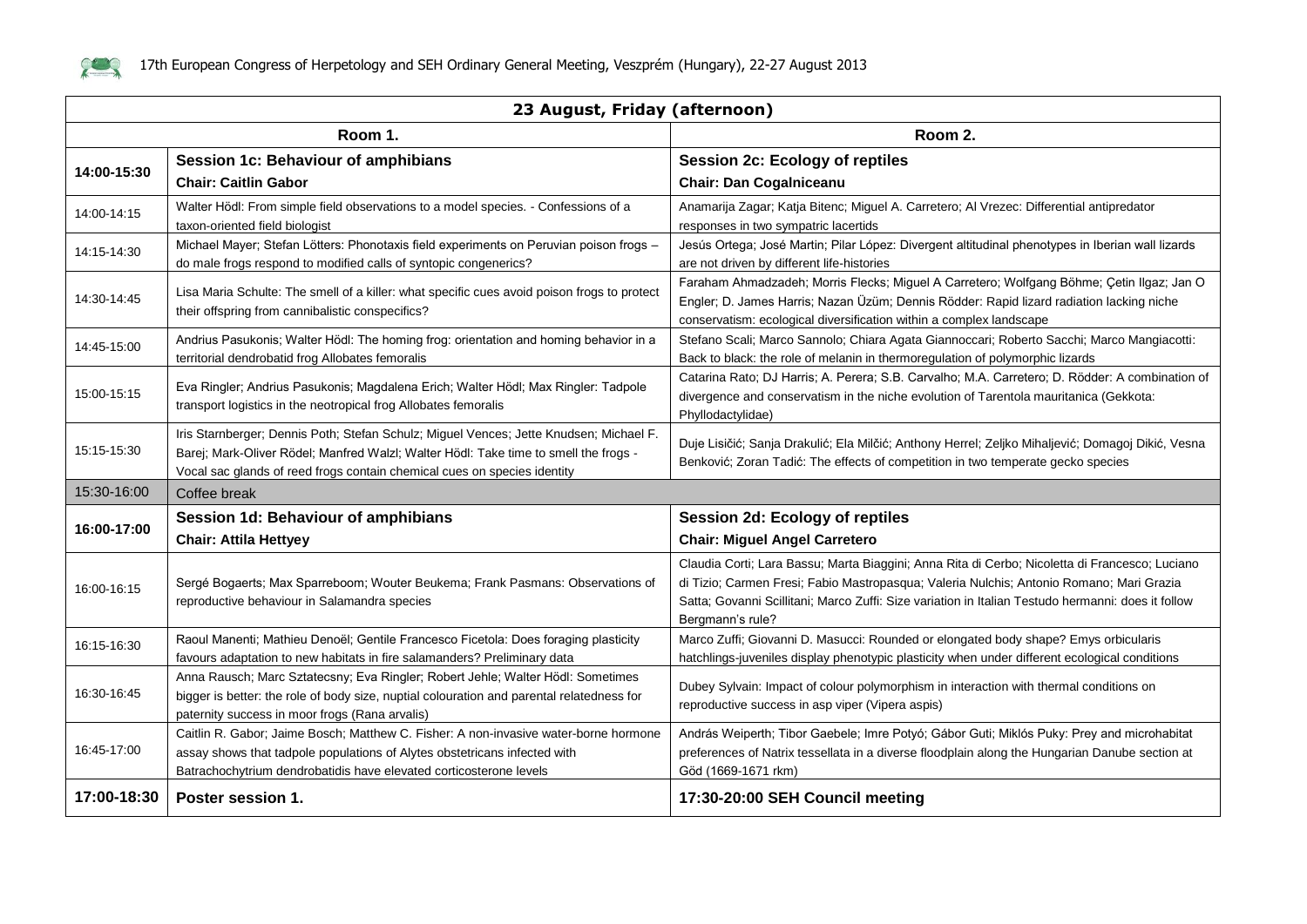

| 23 August, Friday (afternoon) |                                                                                                                                                                                                                                                            |                                                                                                                                                                                                                                                                                                                      |  |
|-------------------------------|------------------------------------------------------------------------------------------------------------------------------------------------------------------------------------------------------------------------------------------------------------|----------------------------------------------------------------------------------------------------------------------------------------------------------------------------------------------------------------------------------------------------------------------------------------------------------------------|--|
|                               | Room 1.                                                                                                                                                                                                                                                    | Room 2.                                                                                                                                                                                                                                                                                                              |  |
| 14:00-15:30                   | Session 1c: Behaviour of amphibians                                                                                                                                                                                                                        | <b>Session 2c: Ecology of reptiles</b>                                                                                                                                                                                                                                                                               |  |
|                               | <b>Chair: Caitlin Gabor</b>                                                                                                                                                                                                                                | <b>Chair: Dan Cogalniceanu</b>                                                                                                                                                                                                                                                                                       |  |
| 14:00-14:15                   | Walter Hödl: From simple field observations to a model species. - Confessions of a                                                                                                                                                                         | Anamarija Zagar; Katja Bitenc; Miguel A. Carretero; Al Vrezec: Differential antipredator                                                                                                                                                                                                                             |  |
|                               | taxon-oriented field biologist                                                                                                                                                                                                                             | responses in two sympatric lacertids                                                                                                                                                                                                                                                                                 |  |
| 14:15-14:30                   | Michael Mayer; Stefan Lötters: Phonotaxis field experiments on Peruvian poison frogs -<br>do male frogs respond to modified calls of syntopic congenerics?                                                                                                 | Jesús Ortega; José Martin; Pilar López: Divergent altitudinal phenotypes in Iberian wall lizards<br>are not driven by different life-histories                                                                                                                                                                       |  |
| 14:30-14:45                   | Lisa Maria Schulte: The smell of a killer: what specific cues avoid poison frogs to protect<br>their offspring from cannibalistic conspecifics?                                                                                                            | Faraham Ahmadzadeh; Morris Flecks; Miguel A Carretero; Wolfgang Böhme; Çetin Ilgaz; Jan O<br>Engler; D. James Harris; Nazan Üzüm; Dennis Rödder: Rapid lizard radiation lacking niche<br>conservatism: ecological diversification within a complex landscape                                                         |  |
| 14:45-15:00                   | Andrius Pasukonis; Walter Hödl: The homing frog: orientation and homing behavior in a<br>territorial dendrobatid frog Allobates femoralis                                                                                                                  | Stefano Scali; Marco Sannolo; Chiara Agata Giannoccari; Roberto Sacchi; Marco Mangiacotti:<br>Back to black: the role of melanin in thermoregulation of polymorphic lizards                                                                                                                                          |  |
| 15:00-15:15                   | Eva Ringler; Andrius Pasukonis; Magdalena Erich; Walter Hödl; Max Ringler: Tadpole<br>transport logistics in the neotropical frog Allobates femoralis                                                                                                      | Catarina Rato; DJ Harris; A. Perera; S.B. Carvalho; M.A. Carretero; D. Rödder: A combination of<br>divergence and conservatism in the niche evolution of Tarentola mauritanica (Gekkota:<br>Phyllodactylidae)                                                                                                        |  |
| 15:15-15:30                   | Iris Starnberger; Dennis Poth; Stefan Schulz; Miguel Vences; Jette Knudsen; Michael F.<br>Barej; Mark-Oliver Rödel; Manfred Walzl; Walter Hödl: Take time to smell the frogs -<br>Vocal sac glands of reed frogs contain chemical cues on species identity | Duje Lisičić; Sanja Drakulić; Ela Milčić; Anthony Herrel; Zeljko Mihaljević; Domagoj Dikić, Vesna<br>Benković; Zoran Tadić: The effects of competition in two temperate gecko species                                                                                                                                |  |
| 15:30-16:00                   | Coffee break                                                                                                                                                                                                                                               |                                                                                                                                                                                                                                                                                                                      |  |
| 16:00-17:00                   | Session 1d: Behaviour of amphibians                                                                                                                                                                                                                        | Session 2d: Ecology of reptiles                                                                                                                                                                                                                                                                                      |  |
|                               | <b>Chair: Attila Hettyey</b>                                                                                                                                                                                                                               | <b>Chair: Miguel Angel Carretero</b>                                                                                                                                                                                                                                                                                 |  |
| 16:00-16:15                   | Sergé Bogaerts; Max Sparreboom; Wouter Beukema; Frank Pasmans: Observations of<br>reproductive behaviour in Salamandra species                                                                                                                             | Claudia Corti; Lara Bassu; Marta Biaggini; Anna Rita di Cerbo; Nicoletta di Francesco; Luciano<br>di Tizio; Carmen Fresi; Fabio Mastropasqua; Valeria Nulchis; Antonio Romano; Mari Grazia<br>Satta; Govanni Scillitani; Marco Zuffi: Size variation in Italian Testudo hermanni: does it follow<br>Bergmann's rule? |  |
| 16:15-16:30                   | Raoul Manenti; Mathieu Denoël; Gentile Francesco Ficetola: Does foraging plasticity<br>favours adaptation to new habitats in fire salamanders? Preliminary data                                                                                            | Marco Zuffi; Giovanni D. Masucci: Rounded or elongated body shape? Emys orbicularis<br>hatchlings-juveniles display phenotypic plasticity when under different ecological conditions                                                                                                                                 |  |
| 16:30-16:45                   | Anna Rausch; Marc Sztatecsny; Eva Ringler; Robert Jehle; Walter Hödl: Sometimes<br>bigger is better: the role of body size, nuptial colouration and parental relatedness for<br>paternity success in moor frogs (Rana arvalis)                             | Dubey Sylvain: Impact of colour polymorphism in interaction with thermal conditions on<br>reproductive success in asp viper (Vipera aspis)                                                                                                                                                                           |  |
| 16:45-17:00                   | Caitlin R. Gabor; Jaime Bosch; Matthew C. Fisher: A non-invasive water-borne hormone<br>assay shows that tadpole populations of Alytes obstetricans infected with<br>Batrachochytrium dendrobatidis have elevated corticosterone levels                    | András Weiperth; Tibor Gaebele; Imre Potyó; Gábor Guti; Miklós Puky: Prey and microhabitat<br>preferences of Natrix tessellata in a diverse floodplain along the Hungarian Danube section at<br>Göd (1669-1671 rkm)                                                                                                  |  |
| 17:00-18:30                   | Poster session 1.                                                                                                                                                                                                                                          | 17:30-20:00 SEH Council meeting                                                                                                                                                                                                                                                                                      |  |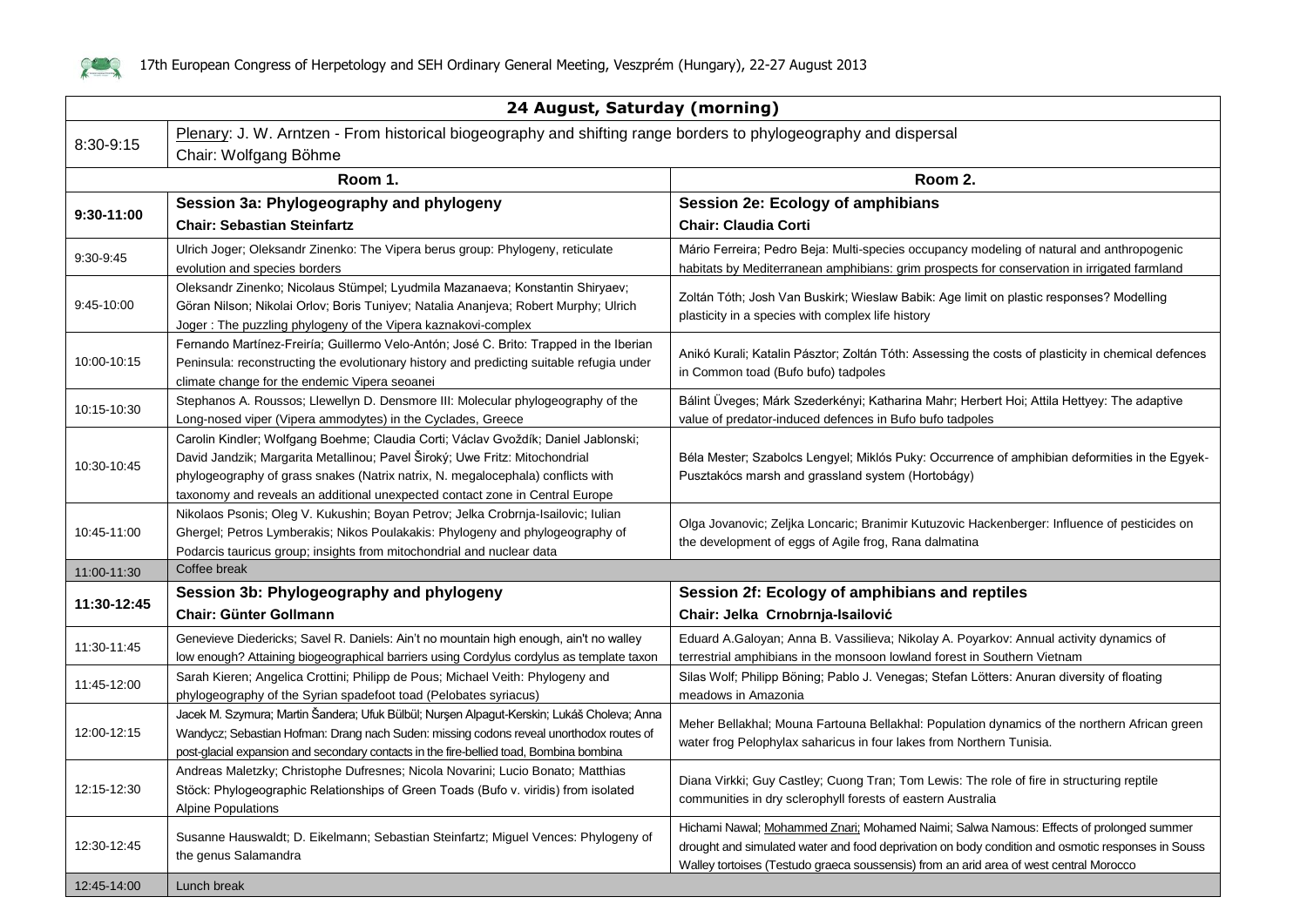

|             | 24 August, Saturday (morning)                                                                                                                                                                                                                                                                                                        |                                                                                                                                                                                                                                                                                        |  |
|-------------|--------------------------------------------------------------------------------------------------------------------------------------------------------------------------------------------------------------------------------------------------------------------------------------------------------------------------------------|----------------------------------------------------------------------------------------------------------------------------------------------------------------------------------------------------------------------------------------------------------------------------------------|--|
| 8:30-9:15   | Plenary: J. W. Arntzen - From historical biogeography and shifting range borders to phylogeography and dispersal<br>Chair: Wolfgang Böhme                                                                                                                                                                                            |                                                                                                                                                                                                                                                                                        |  |
|             | Room 1.                                                                                                                                                                                                                                                                                                                              | Room 2.                                                                                                                                                                                                                                                                                |  |
|             | Session 3a: Phylogeography and phylogeny                                                                                                                                                                                                                                                                                             | Session 2e: Ecology of amphibians                                                                                                                                                                                                                                                      |  |
| 9:30-11:00  | <b>Chair: Sebastian Steinfartz</b>                                                                                                                                                                                                                                                                                                   | <b>Chair: Claudia Corti</b>                                                                                                                                                                                                                                                            |  |
| 9:30-9:45   | Ulrich Joger; Oleksandr Zinenko: The Vipera berus group: Phylogeny, reticulate<br>evolution and species borders                                                                                                                                                                                                                      | Mário Ferreira; Pedro Beja: Multi-species occupancy modeling of natural and anthropogenic<br>habitats by Mediterranean amphibians: grim prospects for conservation in irrigated farmland                                                                                               |  |
| 9:45-10:00  | Oleksandr Zinenko; Nicolaus Stümpel; Lyudmila Mazanaeva; Konstantin Shiryaev;<br>Göran Nilson; Nikolai Orlov; Boris Tuniyev; Natalia Ananjeva; Robert Murphy; Ulrich<br>Joger: The puzzling phylogeny of the Vipera kaznakovi-complex                                                                                                | Zoltán Tóth; Josh Van Buskirk; Wieslaw Babik: Age limit on plastic responses? Modelling<br>plasticity in a species with complex life history                                                                                                                                           |  |
| 10:00-10:15 | Fernando Martínez-Freiría; Guillermo Velo-Antón; José C. Brito: Trapped in the Iberian<br>Peninsula: reconstructing the evolutionary history and predicting suitable refugia under<br>climate change for the endemic Vipera seoanei                                                                                                  | Anikó Kurali; Katalin Pásztor; Zoltán Tóth: Assessing the costs of plasticity in chemical defences<br>in Common toad (Bufo bufo) tadpoles                                                                                                                                              |  |
| 10:15-10:30 | Stephanos A. Roussos; Llewellyn D. Densmore III: Molecular phylogeography of the<br>Long-nosed viper (Vipera ammodytes) in the Cyclades, Greece                                                                                                                                                                                      | Bálint Üveges; Márk Szederkényi; Katharina Mahr; Herbert Hoi; Attila Hettyey: The adaptive<br>value of predator-induced defences in Bufo bufo tadpoles                                                                                                                                 |  |
| 10:30-10:45 | Carolin Kindler; Wolfgang Boehme; Claudia Corti; Václav Gvoždík; Daniel Jablonski;<br>David Jandzik; Margarita Metallinou; Pavel Široký; Uwe Fritz: Mitochondrial<br>phylogeography of grass snakes (Natrix natrix, N. megalocephala) conflicts with<br>taxonomy and reveals an additional unexpected contact zone in Central Europe | Béla Mester; Szabolcs Lengyel; Miklós Puky: Occurrence of amphibian deformities in the Egyek-<br>Pusztakócs marsh and grassland system (Hortobágy)                                                                                                                                     |  |
| 10:45-11:00 | Nikolaos Psonis; Oleg V. Kukushin; Boyan Petrov; Jelka Crobrnja-Isailovic; Iulian<br>Ghergel; Petros Lymberakis; Nikos Poulakakis: Phylogeny and phylogeography of<br>Podarcis tauricus group; insights from mitochondrial and nuclear data                                                                                          | Olga Jovanovic; Zeljka Loncaric; Branimir Kutuzovic Hackenberger: Influence of pesticides on<br>the development of eggs of Agile frog, Rana dalmatina                                                                                                                                  |  |
| 11:00-11:30 | Coffee break                                                                                                                                                                                                                                                                                                                         |                                                                                                                                                                                                                                                                                        |  |
| 11:30-12:45 | Session 3b: Phylogeography and phylogeny<br>Chair: Günter Gollmann                                                                                                                                                                                                                                                                   | Session 2f: Ecology of amphibians and reptiles<br>Chair: Jelka Crnobrnja-Isailović                                                                                                                                                                                                     |  |
| 11:30-11:45 | Genevieve Diedericks; Savel R. Daniels: Ain't no mountain high enough, ain't no walley<br>low enough? Attaining biogeographical barriers using Cordylus cordylus as template taxon                                                                                                                                                   | Eduard A.Galoyan; Anna B. Vassilieva; Nikolay A. Poyarkov: Annual activity dynamics of<br>terrestrial amphibians in the monsoon lowland forest in Southern Vietnam                                                                                                                     |  |
| 11:45-12:00 | Sarah Kieren; Angelica Crottini; Philipp de Pous; Michael Veith: Phylogeny and<br>phylogeography of the Syrian spadefoot toad (Pelobates syriacus)                                                                                                                                                                                   | Silas Wolf; Philipp Böning; Pablo J. Venegas; Stefan Lötters: Anuran diversity of floating<br>meadows in Amazonia                                                                                                                                                                      |  |
| 12:00-12:15 | Jacek M. Szymura; Martin Šandera; Ufuk Bülbül; Nurşen Alpagut-Kerskin; Lukáš Choleva; Anna<br>Wandycz; Sebastian Hofman: Drang nach Suden: missing codons reveal unorthodox routes of<br>post-glacial expansion and secondary contacts in the fire-bellied toad, Bombina bombina                                                     | Meher Bellakhal; Mouna Fartouna Bellakhal: Population dynamics of the northern African green<br>water frog Pelophylax saharicus in four lakes from Northern Tunisia.                                                                                                                   |  |
| 12:15-12:30 | Andreas Maletzky; Christophe Dufresnes; Nicola Novarini; Lucio Bonato; Matthias<br>Stöck: Phylogeographic Relationships of Green Toads (Bufo v. viridis) from isolated<br><b>Alpine Populations</b>                                                                                                                                  | Diana Virkki; Guy Castley; Cuong Tran; Tom Lewis: The role of fire in structuring reptile<br>communities in dry sclerophyll forests of eastern Australia                                                                                                                               |  |
| 12:30-12:45 | Susanne Hauswaldt; D. Eikelmann; Sebastian Steinfartz; Miguel Vences: Phylogeny of<br>the genus Salamandra                                                                                                                                                                                                                           | Hichami Nawal; Mohammed Znari; Mohamed Naimi; Salwa Namous: Effects of prolonged summer<br>drought and simulated water and food deprivation on body condition and osmotic responses in Souss<br>Walley tortoises (Testudo graeca soussensis) from an arid area of west central Morocco |  |
| 12:45-14:00 | Lunch break                                                                                                                                                                                                                                                                                                                          |                                                                                                                                                                                                                                                                                        |  |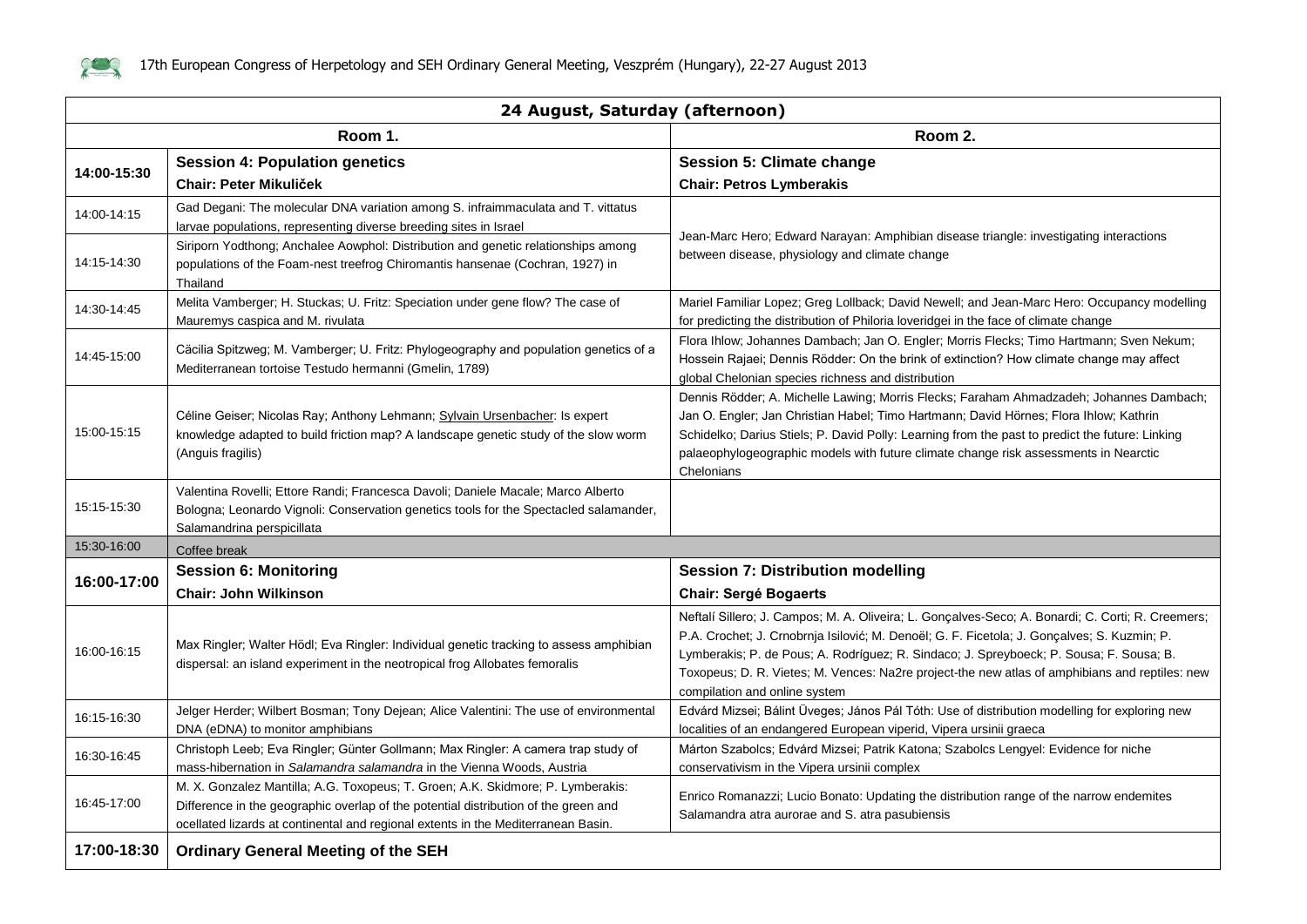

| 24 August, Saturday (afternoon) |                                                                                                                                                                                                                                                             |                                                                                                                                                                                                                                                                                                                                                                                                                                |  |
|---------------------------------|-------------------------------------------------------------------------------------------------------------------------------------------------------------------------------------------------------------------------------------------------------------|--------------------------------------------------------------------------------------------------------------------------------------------------------------------------------------------------------------------------------------------------------------------------------------------------------------------------------------------------------------------------------------------------------------------------------|--|
|                                 | Room 1.                                                                                                                                                                                                                                                     | Room 2.                                                                                                                                                                                                                                                                                                                                                                                                                        |  |
|                                 | <b>Session 4: Population genetics</b>                                                                                                                                                                                                                       | <b>Session 5: Climate change</b>                                                                                                                                                                                                                                                                                                                                                                                               |  |
| 14:00-15:30                     | <b>Chair: Peter Mikuliček</b>                                                                                                                                                                                                                               | <b>Chair: Petros Lymberakis</b>                                                                                                                                                                                                                                                                                                                                                                                                |  |
| 14:00-14:15                     | Gad Degani: The molecular DNA variation among S. infraimmaculata and T. vittatus<br>larvae populations, representing diverse breeding sites in Israel                                                                                                       |                                                                                                                                                                                                                                                                                                                                                                                                                                |  |
| 14:15-14:30                     | Siriporn Yodthong; Anchalee Aowphol: Distribution and genetic relationships among<br>populations of the Foam-nest treefrog Chiromantis hansenae (Cochran, 1927) in<br>Thailand                                                                              | Jean-Marc Hero; Edward Narayan: Amphibian disease triangle: investigating interactions<br>between disease, physiology and climate change                                                                                                                                                                                                                                                                                       |  |
| 14:30-14:45                     | Melita Vamberger; H. Stuckas; U. Fritz: Speciation under gene flow? The case of<br>Mauremys caspica and M. rivulata                                                                                                                                         | Mariel Familiar Lopez; Greg Lollback; David Newell; and Jean-Marc Hero: Occupancy modelling<br>for predicting the distribution of Philoria loveridgei in the face of climate change                                                                                                                                                                                                                                            |  |
| 14:45-15:00                     | Cäcilia Spitzweg; M. Vamberger; U. Fritz: Phylogeography and population genetics of a<br>Mediterranean tortoise Testudo hermanni (Gmelin, 1789)                                                                                                             | Flora Ihlow; Johannes Dambach; Jan O. Engler; Morris Flecks; Timo Hartmann; Sven Nekum;<br>Hossein Rajaei; Dennis Rödder: On the brink of extinction? How climate change may affect<br>global Chelonian species richness and distribution                                                                                                                                                                                      |  |
| 15:00-15:15                     | Céline Geiser; Nicolas Ray; Anthony Lehmann; Sylvain Ursenbacher: Is expert<br>knowledge adapted to build friction map? A landscape genetic study of the slow worm<br>(Anguis fragilis)                                                                     | Dennis Rödder; A. Michelle Lawing; Morris Flecks; Faraham Ahmadzadeh; Johannes Dambach;<br>Jan O. Engler; Jan Christian Habel; Timo Hartmann; David Hörnes; Flora Ihlow; Kathrin<br>Schidelko; Darius Stiels; P. David Polly: Learning from the past to predict the future: Linking<br>palaeophylogeographic models with future climate change risk assessments in Nearctic<br>Chelonians                                      |  |
| 15:15-15:30                     | Valentina Rovelli; Ettore Randi; Francesca Davoli; Daniele Macale; Marco Alberto<br>Bologna; Leonardo Vignoli: Conservation genetics tools for the Spectacled salamander,<br>Salamandrina perspicillata                                                     |                                                                                                                                                                                                                                                                                                                                                                                                                                |  |
| 15:30-16:00                     | Coffee break                                                                                                                                                                                                                                                |                                                                                                                                                                                                                                                                                                                                                                                                                                |  |
| 16:00-17:00                     | <b>Session 6: Monitoring</b>                                                                                                                                                                                                                                | <b>Session 7: Distribution modelling</b>                                                                                                                                                                                                                                                                                                                                                                                       |  |
|                                 | <b>Chair: John Wilkinson</b>                                                                                                                                                                                                                                | <b>Chair: Sergé Bogaerts</b>                                                                                                                                                                                                                                                                                                                                                                                                   |  |
| 16:00-16:15                     | Max Ringler; Walter Hödl; Eva Ringler: Individual genetic tracking to assess amphibian<br>dispersal: an island experiment in the neotropical frog Allobates femoralis                                                                                       | Neftalí Sillero; J. Campos; M. A. Oliveira; L. Gonçalves-Seco; A. Bonardi; C. Corti; R. Creemers;<br>P.A. Crochet; J. Crnobrnja Isilović; M. Denoël; G. F. Ficetola; J. Gonçalves; S. Kuzmin; P.<br>Lymberakis; P. de Pous; A. Rodríguez; R. Sindaco; J. Spreyboeck; P. Sousa; F. Sousa; B.<br>Toxopeus; D. R. Vietes; M. Vences: Na2re project-the new atlas of amphibians and reptiles: new<br>compilation and online system |  |
| 16:15-16:30                     | Jelger Herder; Wilbert Bosman; Tony Dejean; Alice Valentini: The use of environmental<br>DNA (eDNA) to monitor amphibians                                                                                                                                   | Edvárd Mizsei; Bálint Üveges; János Pál Tóth: Use of distribution modelling for exploring new<br>localities of an endangered European viperid, Vipera ursinii graeca                                                                                                                                                                                                                                                           |  |
| 16:30-16:45                     | Christoph Leeb; Eva Ringler; Günter Gollmann; Max Ringler: A camera trap study of<br>mass-hibernation in Salamandra salamandra in the Vienna Woods, Austria                                                                                                 | Márton Szabolcs; Edvárd Mizsei; Patrik Katona; Szabolcs Lengyel: Evidence for niche<br>conservativism in the Vipera ursinii complex                                                                                                                                                                                                                                                                                            |  |
| 16:45-17:00                     | M. X. Gonzalez Mantilla; A.G. Toxopeus; T. Groen; A.K. Skidmore; P. Lymberakis:<br>Difference in the geographic overlap of the potential distribution of the green and<br>ocellated lizards at continental and regional extents in the Mediterranean Basin. | Enrico Romanazzi; Lucio Bonato: Updating the distribution range of the narrow endemites<br>Salamandra atra aurorae and S. atra pasubiensis                                                                                                                                                                                                                                                                                     |  |
| 17:00-18:30                     | <b>Ordinary General Meeting of the SEH</b>                                                                                                                                                                                                                  |                                                                                                                                                                                                                                                                                                                                                                                                                                |  |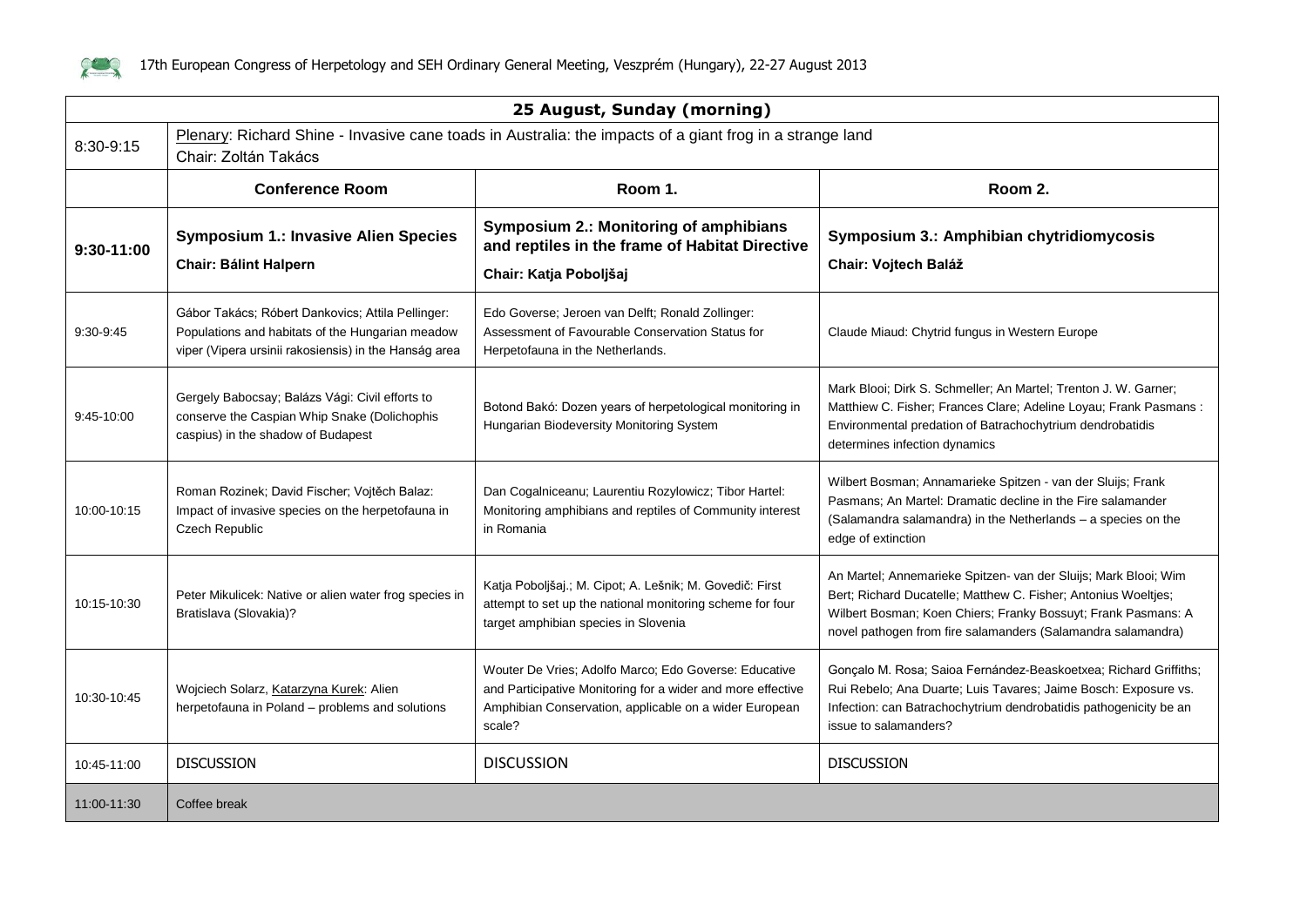

| 25 August, Sunday (morning) |                                                                                                                                                                |                                                                                                                                                                                          |                                                                                                                                                                                                                                                                    |
|-----------------------------|----------------------------------------------------------------------------------------------------------------------------------------------------------------|------------------------------------------------------------------------------------------------------------------------------------------------------------------------------------------|--------------------------------------------------------------------------------------------------------------------------------------------------------------------------------------------------------------------------------------------------------------------|
| 8:30-9:15                   | Plenary: Richard Shine - Invasive cane toads in Australia: the impacts of a giant frog in a strange land<br>Chair: Zoltán Takács                               |                                                                                                                                                                                          |                                                                                                                                                                                                                                                                    |
|                             | <b>Conference Room</b>                                                                                                                                         | Room 1.                                                                                                                                                                                  | Room 2.                                                                                                                                                                                                                                                            |
| $9:30-11:00$                | <b>Symposium 1.: Invasive Alien Species</b><br><b>Chair: Bálint Halpern</b>                                                                                    | <b>Symposium 2.: Monitoring of amphibians</b><br>and reptiles in the frame of Habitat Directive                                                                                          | Symposium 3.: Amphibian chytridiomycosis<br>Chair: Vojtech Baláž                                                                                                                                                                                                   |
|                             |                                                                                                                                                                | Chair: Katja Poboljšaj                                                                                                                                                                   |                                                                                                                                                                                                                                                                    |
| 9:30-9:45                   | Gábor Takács; Róbert Dankovics; Attila Pellinger:<br>Populations and habitats of the Hungarian meadow<br>viper (Vipera ursinii rakosiensis) in the Hanság area | Edo Goverse; Jeroen van Delft; Ronald Zollinger:<br>Assessment of Favourable Conservation Status for<br>Herpetofauna in the Netherlands.                                                 | Claude Miaud: Chytrid fungus in Western Europe                                                                                                                                                                                                                     |
| 9:45-10:00                  | Gergely Babocsay; Balázs Vági: Civil efforts to<br>conserve the Caspian Whip Snake (Dolichophis<br>caspius) in the shadow of Budapest                          | Botond Bakó: Dozen years of herpetological monitoring in<br>Hungarian Biodeversity Monitoring System                                                                                     | Mark Blooi; Dirk S. Schmeller; An Martel; Trenton J. W. Garner;<br>Matthiew C. Fisher; Frances Clare; Adeline Loyau; Frank Pasmans :<br>Environmental predation of Batrachochytrium dendrobatidis<br>determines infection dynamics                                 |
| 10:00-10:15                 | Roman Rozinek; David Fischer; Vojtěch Balaz:<br>Impact of invasive species on the herpetofauna in<br>Czech Republic                                            | Dan Cogalniceanu; Laurentiu Rozylowicz; Tibor Hartel:<br>Monitoring amphibians and reptiles of Community interest<br>in Romania                                                          | Wilbert Bosman; Annamarieke Spitzen - van der Sluijs; Frank<br>Pasmans; An Martel: Dramatic decline in the Fire salamander<br>(Salamandra salamandra) in the Netherlands - a species on the<br>edge of extinction                                                  |
| 10:15-10:30                 | Peter Mikulicek: Native or alien water frog species in<br>Bratislava (Slovakia)?                                                                               | Katja Poboljšaj.; M. Cipot; A. Lešnik; M. Govedič: First<br>attempt to set up the national monitoring scheme for four<br>target amphibian species in Slovenia                            | An Martel; Annemarieke Spitzen- van der Sluijs; Mark Blooi; Wim<br>Bert; Richard Ducatelle; Matthew C. Fisher; Antonius Woeltjes;<br>Wilbert Bosman; Koen Chiers; Franky Bossuyt; Frank Pasmans: A<br>novel pathogen from fire salamanders (Salamandra salamandra) |
| 10:30-10:45                 | Wojciech Solarz, Katarzyna Kurek: Alien<br>herpetofauna in Poland - problems and solutions                                                                     | Wouter De Vries; Adolfo Marco; Edo Goverse: Educative<br>and Participative Monitoring for a wider and more effective<br>Amphibian Conservation, applicable on a wider European<br>scale? | Gonçalo M. Rosa; Saioa Fernández-Beaskoetxea; Richard Griffiths;<br>Rui Rebelo; Ana Duarte; Luis Tavares; Jaime Bosch: Exposure vs.<br>Infection: can Batrachochytrium dendrobatidis pathogenicity be an<br>issue to salamanders?                                  |
| 10:45-11:00                 | <b>DISCUSSION</b>                                                                                                                                              | <b>DISCUSSION</b>                                                                                                                                                                        | <b>DISCUSSION</b>                                                                                                                                                                                                                                                  |
| 11:00-11:30                 | Coffee break                                                                                                                                                   |                                                                                                                                                                                          |                                                                                                                                                                                                                                                                    |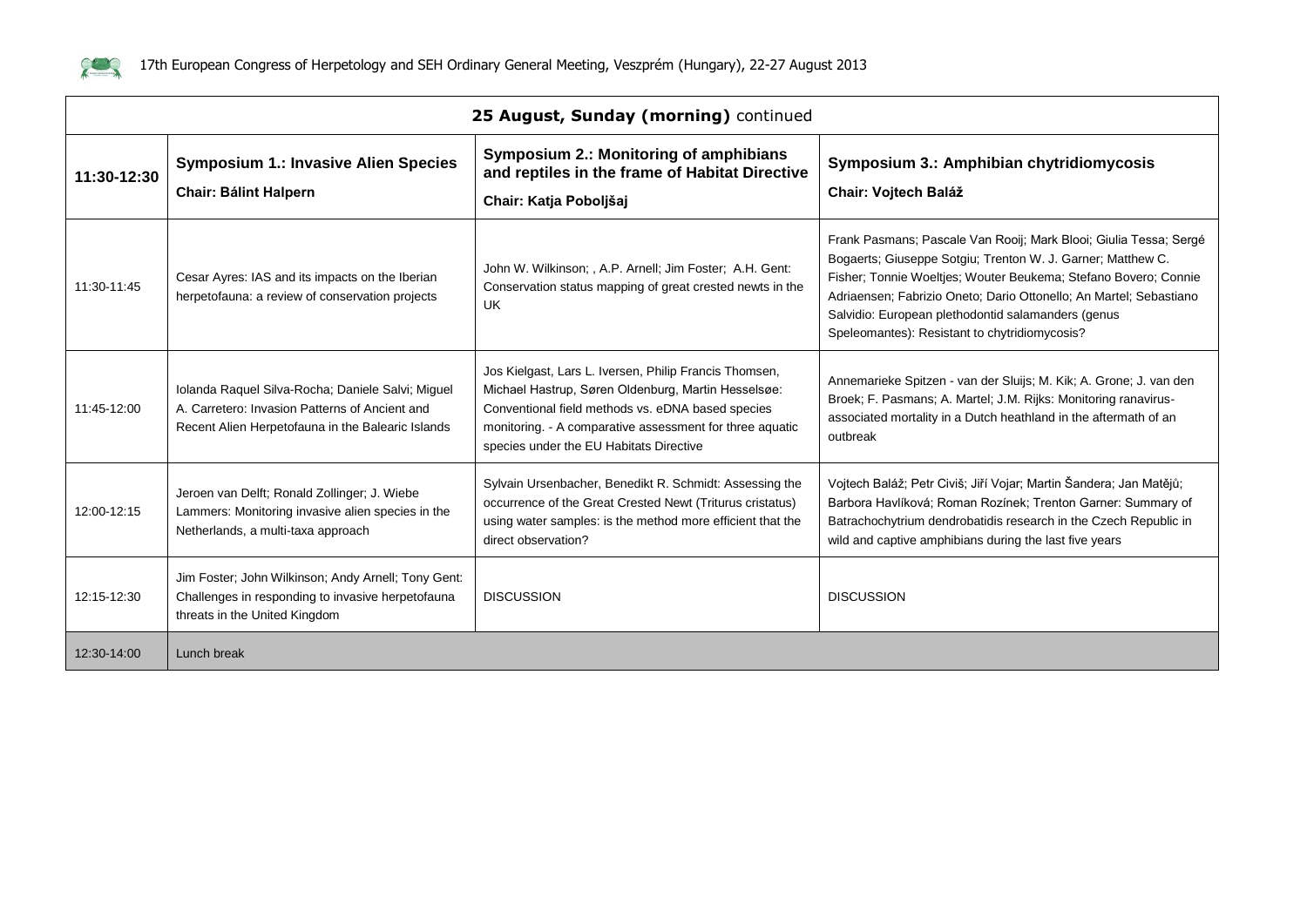

| 25 August, Sunday (morning) continued |                                                                                                                                                          |                                                                                                                                                                                                                                                                           |                                                                                                                                                                                                                                                                                                                                                                                  |
|---------------------------------------|----------------------------------------------------------------------------------------------------------------------------------------------------------|---------------------------------------------------------------------------------------------------------------------------------------------------------------------------------------------------------------------------------------------------------------------------|----------------------------------------------------------------------------------------------------------------------------------------------------------------------------------------------------------------------------------------------------------------------------------------------------------------------------------------------------------------------------------|
| 11:30-12:30                           | <b>Symposium 1.: Invasive Alien Species</b><br><b>Chair: Bálint Halpern</b>                                                                              | Symposium 2.: Monitoring of amphibians<br>and reptiles in the frame of Habitat Directive<br>Chair: Katja Poboljšaj                                                                                                                                                        | Symposium 3.: Amphibian chytridiomycosis<br>Chair: Vojtech Baláž                                                                                                                                                                                                                                                                                                                 |
| 11:30-11:45                           | Cesar Ayres: IAS and its impacts on the Iberian<br>herpetofauna: a review of conservation projects                                                       | John W. Wilkinson; , A.P. Arnell; Jim Foster; A.H. Gent:<br>Conservation status mapping of great crested newts in the<br><b>UK</b>                                                                                                                                        | Frank Pasmans; Pascale Van Rooij; Mark Blooi; Giulia Tessa; Sergé<br>Bogaerts; Giuseppe Sotgiu; Trenton W. J. Garner; Matthew C.<br>Fisher; Tonnie Woeltjes; Wouter Beukema; Stefano Bovero; Connie<br>Adriaensen; Fabrizio Oneto; Dario Ottonello; An Martel; Sebastiano<br>Salvidio: European plethodontid salamanders (genus<br>Speleomantes): Resistant to chytridiomycosis? |
| 11:45-12:00                           | Iolanda Raquel Silva-Rocha; Daniele Salvi; Miguel<br>A. Carretero: Invasion Patterns of Ancient and<br>Recent Alien Herpetofauna in the Balearic Islands | Jos Kielgast, Lars L. Iversen, Philip Francis Thomsen,<br>Michael Hastrup, Søren Oldenburg, Martin Hesselsøe:<br>Conventional field methods vs. eDNA based species<br>monitoring. - A comparative assessment for three aquatic<br>species under the EU Habitats Directive | Annemarieke Spitzen - van der Sluijs; M. Kik; A. Grone; J. van den<br>Broek; F. Pasmans; A. Martel; J.M. Rijks: Monitoring ranavirus-<br>associated mortality in a Dutch heathland in the aftermath of an<br>outbreak                                                                                                                                                            |
| 12:00-12:15                           | Jeroen van Delft; Ronald Zollinger; J. Wiebe<br>Lammers: Monitoring invasive alien species in the<br>Netherlands, a multi-taxa approach                  | Sylvain Ursenbacher, Benedikt R. Schmidt: Assessing the<br>occurrence of the Great Crested Newt (Triturus cristatus)<br>using water samples: is the method more efficient that the<br>direct observation?                                                                 | Vojtech Baláž; Petr Civiš; Jiří Vojar; Martin Šandera; Jan Matějů;<br>Barbora Havlíková; Roman Rozínek; Trenton Garner: Summary of<br>Batrachochytrium dendrobatidis research in the Czech Republic in<br>wild and captive amphibians during the last five years                                                                                                                 |
| 12:15-12:30                           | Jim Foster; John Wilkinson; Andy Arnell; Tony Gent:<br>Challenges in responding to invasive herpetofauna<br>threats in the United Kingdom                | <b>DISCUSSION</b>                                                                                                                                                                                                                                                         | <b>DISCUSSION</b>                                                                                                                                                                                                                                                                                                                                                                |
| 12:30-14:00                           | Lunch break                                                                                                                                              |                                                                                                                                                                                                                                                                           |                                                                                                                                                                                                                                                                                                                                                                                  |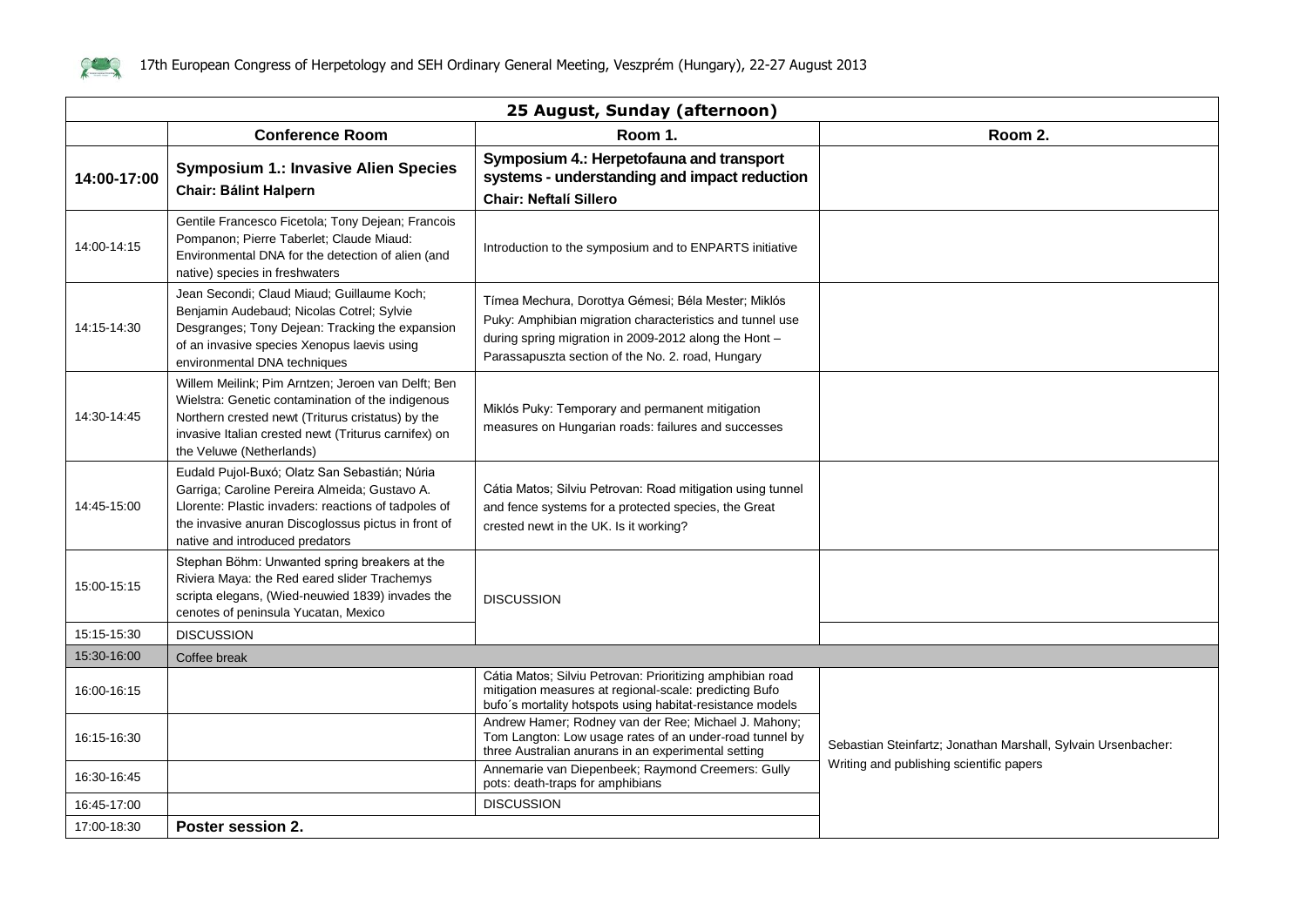

|             | 25 August, Sunday (afternoon)                                                                                                                                                                                                                    |                                                                                                                                                                                                                               |                                                               |  |
|-------------|--------------------------------------------------------------------------------------------------------------------------------------------------------------------------------------------------------------------------------------------------|-------------------------------------------------------------------------------------------------------------------------------------------------------------------------------------------------------------------------------|---------------------------------------------------------------|--|
|             | <b>Conference Room</b>                                                                                                                                                                                                                           | Room 1.                                                                                                                                                                                                                       | Room 2.                                                       |  |
| 14:00-17:00 | <b>Symposium 1.: Invasive Alien Species</b><br><b>Chair: Bálint Halpern</b>                                                                                                                                                                      | Symposium 4.: Herpetofauna and transport<br>systems - understanding and impact reduction<br><b>Chair: Neftalí Sillero</b>                                                                                                     |                                                               |  |
| 14:00-14:15 | Gentile Francesco Ficetola; Tony Dejean; Francois<br>Pompanon; Pierre Taberlet; Claude Miaud:<br>Environmental DNA for the detection of alien (and<br>native) species in freshwaters                                                             | Introduction to the symposium and to ENPARTS initiative                                                                                                                                                                       |                                                               |  |
| 14:15-14:30 | Jean Secondi: Claud Miaud: Guillaume Koch:<br>Benjamin Audebaud; Nicolas Cotrel; Sylvie<br>Desgranges; Tony Dejean: Tracking the expansion<br>of an invasive species Xenopus laevis using<br>environmental DNA techniques                        | Tímea Mechura, Dorottya Gémesi; Béla Mester; Miklós<br>Puky: Amphibian migration characteristics and tunnel use<br>during spring migration in 2009-2012 along the Hont -<br>Parassapuszta section of the No. 2. road, Hungary |                                                               |  |
| 14:30-14:45 | Willem Meilink; Pim Arntzen; Jeroen van Delft; Ben<br>Wielstra: Genetic contamination of the indigenous<br>Northern crested newt (Triturus cristatus) by the<br>invasive Italian crested newt (Triturus carnifex) on<br>the Veluwe (Netherlands) | Miklós Puky: Temporary and permanent mitigation<br>measures on Hungarian roads: failures and successes                                                                                                                        |                                                               |  |
| 14:45-15:00 | Eudald Pujol-Buxó; Olatz San Sebastián; Núria<br>Garriga; Caroline Pereira Almeida; Gustavo A.<br>Llorente: Plastic invaders: reactions of tadpoles of<br>the invasive anuran Discoglossus pictus in front of<br>native and introduced predators | Cátia Matos; Silviu Petrovan: Road mitigation using tunnel<br>and fence systems for a protected species, the Great<br>crested newt in the UK. Is it working?                                                                  |                                                               |  |
| 15:00-15:15 | Stephan Böhm: Unwanted spring breakers at the<br>Riviera Maya: the Red eared slider Trachemys<br>scripta elegans, (Wied-neuwied 1839) invades the<br>cenotes of peninsula Yucatan, Mexico                                                        | <b>DISCUSSION</b>                                                                                                                                                                                                             |                                                               |  |
| 15:15-15:30 | <b>DISCUSSION</b>                                                                                                                                                                                                                                |                                                                                                                                                                                                                               |                                                               |  |
| 15:30-16:00 | Coffee break                                                                                                                                                                                                                                     |                                                                                                                                                                                                                               |                                                               |  |
| 16:00-16:15 |                                                                                                                                                                                                                                                  | Cátia Matos; Silviu Petrovan: Prioritizing amphibian road<br>mitigation measures at regional-scale: predicting Bufo<br>bufo's mortality hotspots using habitat-resistance models                                              |                                                               |  |
| 16:15-16:30 |                                                                                                                                                                                                                                                  | Andrew Hamer; Rodney van der Ree; Michael J. Mahony;<br>Tom Langton: Low usage rates of an under-road tunnel by<br>three Australian anurans in an experimental setting                                                        | Sebastian Steinfartz; Jonathan Marshall, Sylvain Ursenbacher: |  |
| 16:30-16:45 |                                                                                                                                                                                                                                                  | Annemarie van Diepenbeek; Raymond Creemers: Gully<br>pots: death-traps for amphibians                                                                                                                                         | Writing and publishing scientific papers                      |  |
| 16:45-17:00 |                                                                                                                                                                                                                                                  | <b>DISCUSSION</b>                                                                                                                                                                                                             |                                                               |  |
| 17:00-18:30 | Poster session 2.                                                                                                                                                                                                                                |                                                                                                                                                                                                                               |                                                               |  |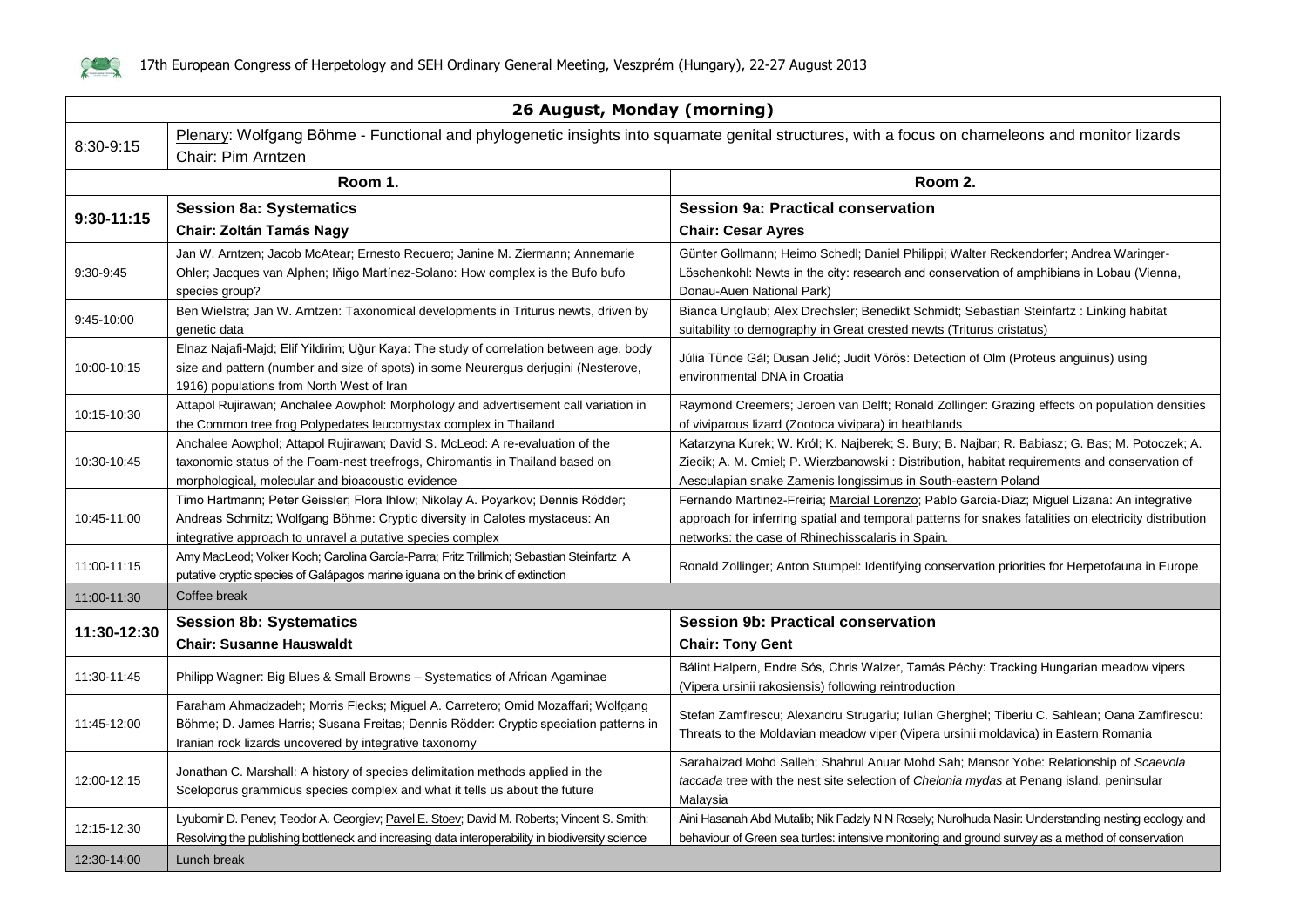

 $\mathbf{r}$ 

|                | 26 August, Monday (morning)                                                                                                                                                                                                         |                                                                                                                                                                                                                                                                  |  |
|----------------|-------------------------------------------------------------------------------------------------------------------------------------------------------------------------------------------------------------------------------------|------------------------------------------------------------------------------------------------------------------------------------------------------------------------------------------------------------------------------------------------------------------|--|
|                | Plenary: Wolfgang Böhme - Functional and phylogenetic insights into squamate genital structures, with a focus on chameleons and monitor lizards<br>8:30-9:15                                                                        |                                                                                                                                                                                                                                                                  |  |
|                | Chair: Pim Arntzen                                                                                                                                                                                                                  |                                                                                                                                                                                                                                                                  |  |
|                | Room 1.                                                                                                                                                                                                                             | Room 2.                                                                                                                                                                                                                                                          |  |
|                | <b>Session 8a: Systematics</b>                                                                                                                                                                                                      | <b>Session 9a: Practical conservation</b>                                                                                                                                                                                                                        |  |
| $9:30 - 11:15$ | <b>Chair: Zoltán Tamás Nagy</b>                                                                                                                                                                                                     | <b>Chair: Cesar Ayres</b>                                                                                                                                                                                                                                        |  |
|                | Jan W. Arntzen; Jacob McAtear; Ernesto Recuero; Janine M. Ziermann; Annemarie                                                                                                                                                       | Günter Gollmann; Heimo Schedl; Daniel Philippi; Walter Reckendorfer; Andrea Waringer-                                                                                                                                                                            |  |
| 9:30-9:45      | Ohler; Jacques van Alphen; Iňigo Martínez-Solano: How complex is the Bufo bufo<br>species group?                                                                                                                                    | Löschenkohl: Newts in the city: research and conservation of amphibians in Lobau (Vienna,<br>Donau-Auen National Park)                                                                                                                                           |  |
| 9:45-10:00     | Ben Wielstra; Jan W. Arntzen: Taxonomical developments in Triturus newts, driven by<br>genetic data                                                                                                                                 | Bianca Unglaub; Alex Drechsler; Benedikt Schmidt; Sebastian Steinfartz: Linking habitat<br>suitability to demography in Great crested newts (Triturus cristatus)                                                                                                 |  |
| 10:00-10:15    | Elnaz Najafi-Majd; Elif Yildirim; Uğur Kaya: The study of correlation between age, body<br>size and pattern (number and size of spots) in some Neurergus derjugini (Nesterove,<br>1916) populations from North West of Iran         | Júlia Tünde Gál; Dusan Jelić; Judit Vörös: Detection of Olm (Proteus anguinus) using<br>environmental DNA in Croatia                                                                                                                                             |  |
| 10:15-10:30    | Attapol Rujirawan; Anchalee Aowphol: Morphology and advertisement call variation in<br>the Common tree frog Polypedates leucomystax complex in Thailand                                                                             | Raymond Creemers; Jeroen van Delft; Ronald Zollinger: Grazing effects on population densities<br>of viviparous lizard (Zootoca vivipara) in heathlands                                                                                                           |  |
| 10:30-10:45    | Anchalee Aowphol; Attapol Rujirawan; David S. McLeod: A re-evaluation of the<br>taxonomic status of the Foam-nest treefrogs, Chiromantis in Thailand based on<br>morphological, molecular and bioacoustic evidence                  | Katarzyna Kurek; W. Król; K. Najberek; S. Bury; B. Najbar; R. Babiasz; G. Bas; M. Potoczek; A.<br>Ziecik; A. M. Cmiel; P. Wierzbanowski: Distribution, habitat requirements and conservation of<br>Aesculapian snake Zamenis longissimus in South-eastern Poland |  |
| 10:45-11:00    | Timo Hartmann; Peter Geissler; Flora Ihlow; Nikolay A. Poyarkov; Dennis Rödder;<br>Andreas Schmitz; Wolfgang Böhme: Cryptic diversity in Calotes mystaceus: An<br>integrative approach to unravel a putative species complex        | Fernando Martinez-Freiria; Marcial Lorenzo; Pablo Garcia-Diaz; Miguel Lizana: An integrative<br>approach for inferring spatial and temporal patterns for snakes fatalities on electricity distribution<br>networks: the case of Rhinechisscalaris in Spain.      |  |
| 11:00-11:15    | Amy MacLeod; Volker Koch; Carolina García-Parra; Fritz Trillmich; Sebastian Steinfartz A<br>putative cryptic species of Galápagos marine iguana on the brink of extinction                                                          | Ronald Zollinger; Anton Stumpel: Identifying conservation priorities for Herpetofauna in Europe                                                                                                                                                                  |  |
| 11:00-11:30    | Coffee break                                                                                                                                                                                                                        |                                                                                                                                                                                                                                                                  |  |
|                | <b>Session 8b: Systematics</b>                                                                                                                                                                                                      | <b>Session 9b: Practical conservation</b>                                                                                                                                                                                                                        |  |
| 11:30-12:30    | <b>Chair: Susanne Hauswaldt</b>                                                                                                                                                                                                     | <b>Chair: Tony Gent</b>                                                                                                                                                                                                                                          |  |
| 11:30-11:45    | Philipp Wagner: Big Blues & Small Browns - Systematics of African Agaminae                                                                                                                                                          | Bálint Halpern, Endre Sós, Chris Walzer, Tamás Péchy: Tracking Hungarian meadow vipers<br>(Vipera ursinii rakosiensis) following reintroduction                                                                                                                  |  |
| 11:45-12:00    | Faraham Ahmadzadeh; Morris Flecks; Miguel A. Carretero; Omid Mozaffari; Wolfgang<br>Böhme; D. James Harris; Susana Freitas; Dennis Rödder: Cryptic speciation patterns in<br>Iranian rock lizards uncovered by integrative taxonomy | Stefan Zamfirescu; Alexandru Strugariu; Iulian Gherghel; Tiberiu C. Sahlean; Oana Zamfirescu:<br>Threats to the Moldavian meadow viper (Vipera ursinii moldavica) in Eastern Romania                                                                             |  |
| 12:00-12:15    | Jonathan C. Marshall: A history of species delimitation methods applied in the<br>Sceloporus grammicus species complex and what it tells us about the future                                                                        | Sarahaizad Mohd Salleh; Shahrul Anuar Mohd Sah; Mansor Yobe: Relationship of Scaevola<br>taccada tree with the nest site selection of Chelonia mydas at Penang island, peninsular<br>Malaysia                                                                    |  |
| 12:15-12:30    | Lyubomir D. Penev; Teodor A. Georgiev; Pavel E. Stoev; David M. Roberts; Vincent S. Smith:<br>Resolving the publishing bottleneck and increasing data interoperability in biodiversity science                                      | Aini Hasanah Abd Mutalib; Nik Fadzly N N Rosely; Nurolhuda Nasir: Understanding nesting ecology and<br>behaviour of Green sea turtles: intensive monitoring and ground survey as a method of conservation                                                        |  |
| 12:30-14:00    | Lunch break                                                                                                                                                                                                                         |                                                                                                                                                                                                                                                                  |  |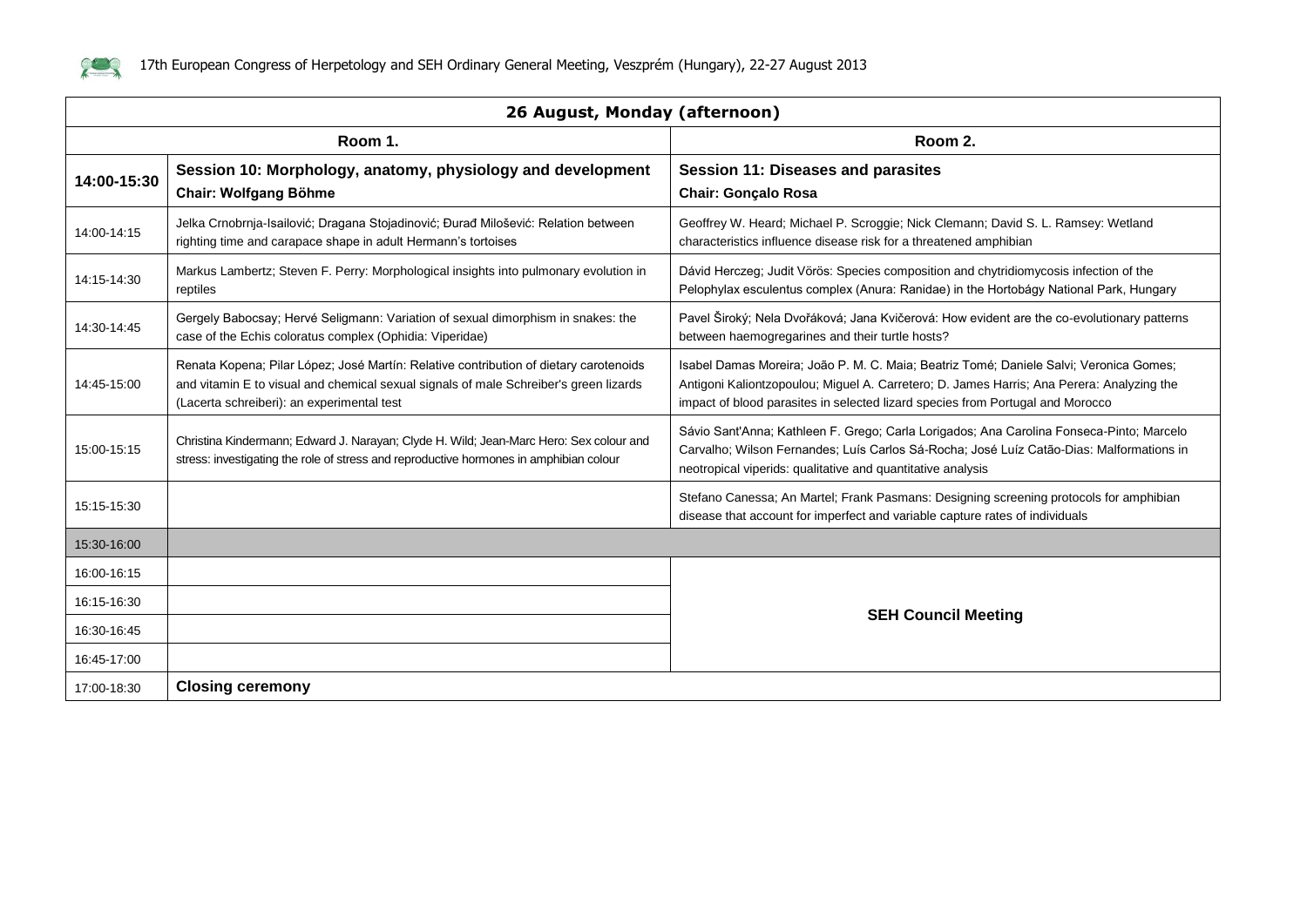

| 26 August, Monday (afternoon) |                                                                                                                                                                                                                              |                                                                                                                                                                                                                                                                       |  |
|-------------------------------|------------------------------------------------------------------------------------------------------------------------------------------------------------------------------------------------------------------------------|-----------------------------------------------------------------------------------------------------------------------------------------------------------------------------------------------------------------------------------------------------------------------|--|
|                               | Room 1.<br>Room 2.                                                                                                                                                                                                           |                                                                                                                                                                                                                                                                       |  |
| 14:00-15:30                   | Session 10: Morphology, anatomy, physiology and development<br><b>Chair: Wolfgang Böhme</b>                                                                                                                                  | <b>Session 11: Diseases and parasites</b><br><b>Chair: Gonçalo Rosa</b>                                                                                                                                                                                               |  |
| 14:00-14:15                   | Jelka Crnobrnja-Isailović; Dragana Stojadinović; Đurađ Milošević: Relation between<br>righting time and carapace shape in adult Hermann's tortoises                                                                          | Geoffrey W. Heard; Michael P. Scroggie; Nick Clemann; David S. L. Ramsey: Wetland<br>characteristics influence disease risk for a threatened amphibian                                                                                                                |  |
| 14:15-14:30                   | Markus Lambertz; Steven F. Perry: Morphological insights into pulmonary evolution in<br>reptiles                                                                                                                             | Dávid Herczeg; Judit Vörös: Species composition and chytridiomycosis infection of the<br>Pelophylax esculentus complex (Anura: Ranidae) in the Hortobágy National Park, Hungary                                                                                       |  |
| 14:30-14:45                   | Gergely Babocsay; Hervé Seligmann: Variation of sexual dimorphism in snakes: the<br>case of the Echis coloratus complex (Ophidia: Viperidae)                                                                                 | Pavel Široký; Nela Dvořáková; Jana Kvičerová: How evident are the co-evolutionary patterns<br>between haemogregarines and their turtle hosts?                                                                                                                         |  |
| 14:45-15:00                   | Renata Kopena; Pilar López; José Martín: Relative contribution of dietary carotenoids<br>and vitamin E to visual and chemical sexual signals of male Schreiber's green lizards<br>(Lacerta schreiberi): an experimental test | Isabel Damas Moreira; João P. M. C. Maia; Beatriz Tomé; Daniele Salvi; Veronica Gomes;<br>Antigoni Kaliontzopoulou; Miguel A. Carretero; D. James Harris; Ana Perera: Analyzing the<br>impact of blood parasites in selected lizard species from Portugal and Morocco |  |
| 15:00-15:15                   | Christina Kindermann; Edward J. Narayan; Clyde H. Wild; Jean-Marc Hero: Sex colour and<br>stress: investigating the role of stress and reproductive hormones in amphibian colour                                             | Sávio Sant'Anna; Kathleen F. Grego; Carla Lorigados; Ana Carolina Fonseca-Pinto; Marcelo<br>Carvalho; Wilson Fernandes; Luís Carlos Sá-Rocha; José Luíz Catão-Dias: Malformations in<br>neotropical viperids: qualitative and quantitative analysis                   |  |
| 15:15-15:30                   |                                                                                                                                                                                                                              | Stefano Canessa; An Martel; Frank Pasmans: Designing screening protocols for amphibian<br>disease that account for imperfect and variable capture rates of individuals                                                                                                |  |
| 15:30-16:00                   |                                                                                                                                                                                                                              |                                                                                                                                                                                                                                                                       |  |
| 16:00-16:15                   |                                                                                                                                                                                                                              |                                                                                                                                                                                                                                                                       |  |
| 16:15-16:30                   |                                                                                                                                                                                                                              |                                                                                                                                                                                                                                                                       |  |
| 16:30-16:45                   |                                                                                                                                                                                                                              | <b>SEH Council Meeting</b>                                                                                                                                                                                                                                            |  |
| 16:45-17:00                   |                                                                                                                                                                                                                              |                                                                                                                                                                                                                                                                       |  |
| 17:00-18:30                   | <b>Closing ceremony</b>                                                                                                                                                                                                      |                                                                                                                                                                                                                                                                       |  |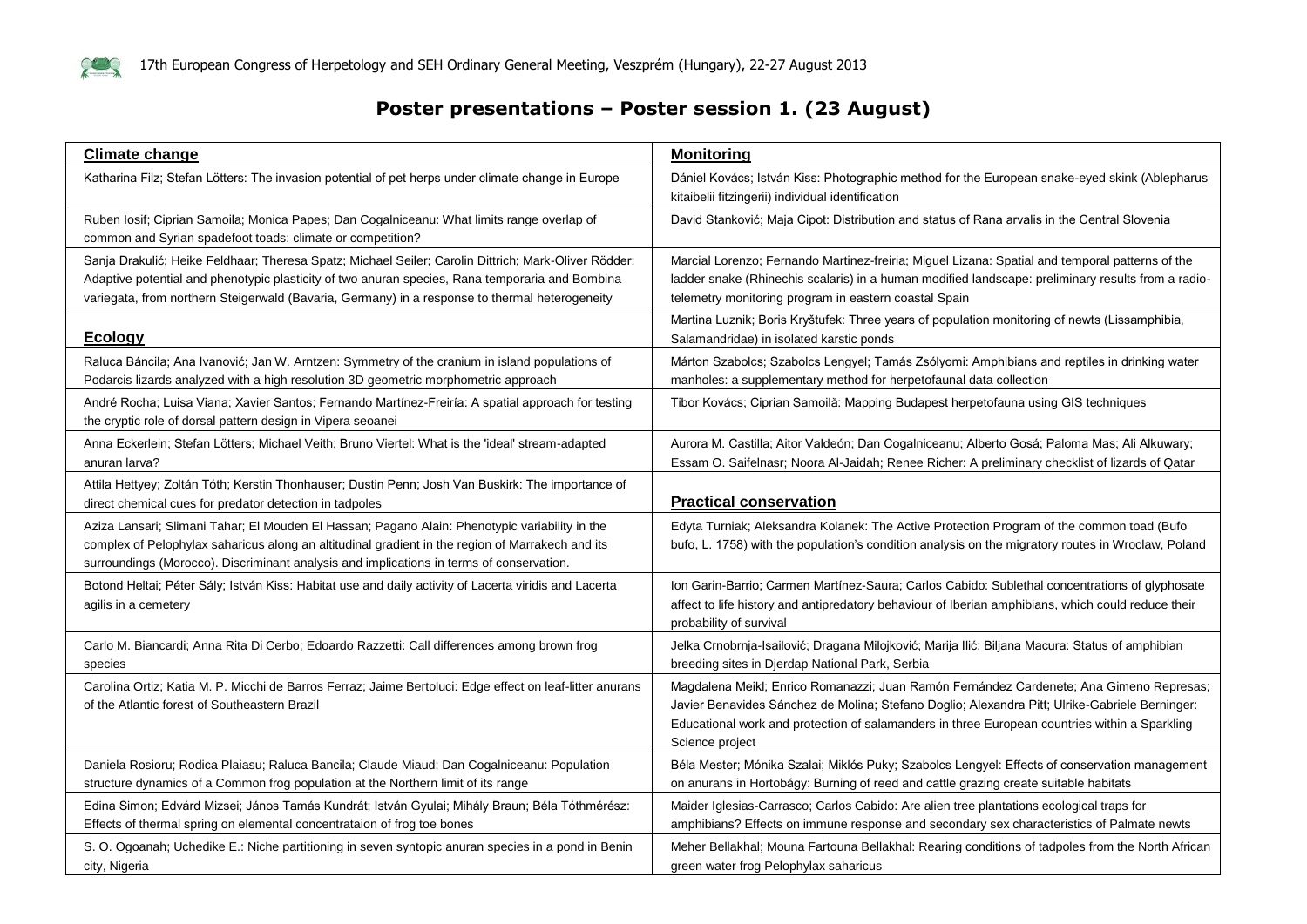

#### **Poster presentations – Poster session 1. (23 August)**

| <b>Climate change</b>                                                                                                                                                                                                                                                                                     | <b>Monitoring</b>                                                                                                                                                                                                                                                                                             |
|-----------------------------------------------------------------------------------------------------------------------------------------------------------------------------------------------------------------------------------------------------------------------------------------------------------|---------------------------------------------------------------------------------------------------------------------------------------------------------------------------------------------------------------------------------------------------------------------------------------------------------------|
| Katharina Filz; Stefan Lötters: The invasion potential of pet herps under climate change in Europe                                                                                                                                                                                                        | Dániel Kovács; István Kiss: Photographic method for the European snake-eyed skink (Ablepharus<br>kitaibelii fitzingerii) individual identification                                                                                                                                                            |
| Ruben Iosif; Ciprian Samoila; Monica Papes; Dan Cogalniceanu: What limits range overlap of<br>common and Syrian spadefoot toads: climate or competition?                                                                                                                                                  | David Stanković; Maja Cipot: Distribution and status of Rana arvalis in the Central Slovenia                                                                                                                                                                                                                  |
| Sanja Drakulić; Heike Feldhaar; Theresa Spatz; Michael Seiler; Carolin Dittrich; Mark-Oliver Rödder:<br>Adaptive potential and phenotypic plasticity of two anuran species, Rana temporaria and Bombina<br>variegata, from northern Steigerwald (Bavaria, Germany) in a response to thermal heterogeneity | Marcial Lorenzo; Fernando Martinez-freiria; Miguel Lizana: Spatial and temporal patterns of the<br>ladder snake (Rhinechis scalaris) in a human modified landscape: preliminary results from a radio-<br>telemetry monitoring program in eastern coastal Spain                                                |
| <b>Ecology</b>                                                                                                                                                                                                                                                                                            | Martina Luznik; Boris Kryštufek: Three years of population monitoring of newts (Lissamphibia,<br>Salamandridae) in isolated karstic ponds                                                                                                                                                                     |
| Raluca Báncila; Ana Ivanović; Jan W. Arntzen: Symmetry of the cranium in island populations of<br>Podarcis lizards analyzed with a high resolution 3D geometric morphometric approach                                                                                                                     | Márton Szabolcs; Szabolcs Lengyel; Tamás Zsólyomi: Amphibians and reptiles in drinking water<br>manholes: a supplementary method for herpetofaunal data collection                                                                                                                                            |
| André Rocha; Luisa Viana; Xavier Santos; Fernando Martínez-Freiría: A spatial approach for testing<br>the cryptic role of dorsal pattern design in Vipera seoanei                                                                                                                                         | Tibor Kovács; Ciprian Samoilă: Mapping Budapest herpetofauna using GIS techniques                                                                                                                                                                                                                             |
| Anna Eckerlein; Stefan Lötters; Michael Veith; Bruno Viertel: What is the 'ideal' stream-adapted<br>anuran larva?                                                                                                                                                                                         | Aurora M. Castilla; Aitor Valdeón; Dan Cogalniceanu; Alberto Gosá; Paloma Mas; Ali Alkuwary;<br>Essam O. Saifelnasr; Noora Al-Jaidah; Renee Richer: A preliminary checklist of lizards of Qatar                                                                                                               |
| Attila Hettyey; Zoltán Tóth; Kerstin Thonhauser; Dustin Penn; Josh Van Buskirk: The importance of<br>direct chemical cues for predator detection in tadpoles                                                                                                                                              | <b>Practical conservation</b>                                                                                                                                                                                                                                                                                 |
| Aziza Lansari; Slimani Tahar; El Mouden El Hassan; Pagano Alain: Phenotypic variability in the<br>complex of Pelophylax saharicus along an altitudinal gradient in the region of Marrakech and its<br>surroundings (Morocco). Discriminant analysis and implications in terms of conservation.            | Edyta Turniak; Aleksandra Kolanek: The Active Protection Program of the common toad (Bufo<br>bufo, L. 1758) with the population's condition analysis on the migratory routes in Wroclaw, Poland                                                                                                               |
| Botond Heltai; Péter Sály; István Kiss: Habitat use and daily activity of Lacerta viridis and Lacerta<br>agilis in a cemetery                                                                                                                                                                             | Ion Garin-Barrio; Carmen Martínez-Saura; Carlos Cabido: Sublethal concentrations of glyphosate<br>affect to life history and antipredatory behaviour of Iberian amphibians, which could reduce their<br>probability of survival                                                                               |
| Carlo M. Biancardi; Anna Rita Di Cerbo; Edoardo Razzetti: Call differences among brown frog<br>species                                                                                                                                                                                                    | Jelka Crnobrnja-Isailović; Dragana Milojković; Marija Ilić; Biljana Macura: Status of amphibian<br>breeding sites in Djerdap National Park, Serbia                                                                                                                                                            |
| Carolina Ortiz; Katia M. P. Micchi de Barros Ferraz; Jaime Bertoluci: Edge effect on leaf-litter anurans<br>of the Atlantic forest of Southeastern Brazil                                                                                                                                                 | Magdalena Meikl; Enrico Romanazzi; Juan Ramón Fernández Cardenete; Ana Gimeno Represas;<br>Javier Benavides Sánchez de Molina; Stefano Doglio; Alexandra Pitt; Ulrike-Gabriele Berninger:<br>Educational work and protection of salamanders in three European countries within a Sparkling<br>Science project |
| Daniela Rosioru; Rodica Plaiasu; Raluca Bancila; Claude Miaud; Dan Cogalniceanu: Population<br>structure dynamics of a Common frog population at the Northern limit of its range                                                                                                                          | Béla Mester; Mónika Szalai; Miklós Puky; Szabolcs Lengyel: Effects of conservation management<br>on anurans in Hortobágy: Burning of reed and cattle grazing create suitable habitats                                                                                                                         |
| Edina Simon; Edvárd Mizsei; János Tamás Kundrát; István Gyulai; Mihály Braun; Béla Tóthmérész:<br>Effects of thermal spring on elemental concentrataion of frog toe bones                                                                                                                                 | Maider Iglesias-Carrasco; Carlos Cabido: Are alien tree plantations ecological traps for<br>amphibians? Effects on immune response and secondary sex characteristics of Palmate newts                                                                                                                         |
| S. O. Ogoanah; Uchedike E.: Niche partitioning in seven syntopic anuran species in a pond in Benin<br>city, Nigeria                                                                                                                                                                                       | Meher Bellakhal; Mouna Fartouna Bellakhal: Rearing conditions of tadpoles from the North African<br>green water frog Pelophylax saharicus                                                                                                                                                                     |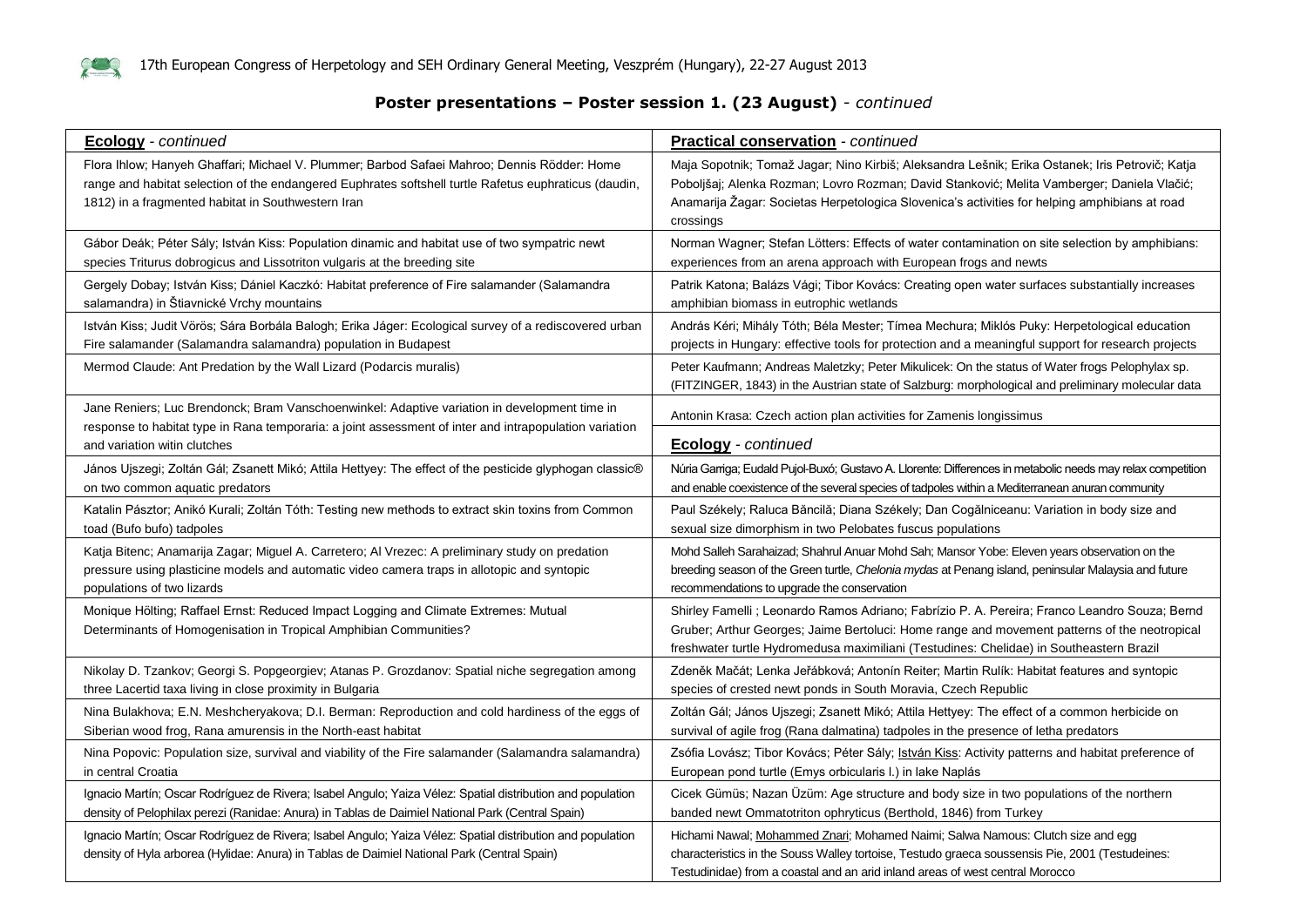

#### **Poster presentations – Poster session 1. (23 August)** *- continued*

| <b>Ecology</b> - continued                                                                                                                                                                                                                                 | <b>Practical conservation - continued</b>                                                                                                                                                                                                                                                                   |
|------------------------------------------------------------------------------------------------------------------------------------------------------------------------------------------------------------------------------------------------------------|-------------------------------------------------------------------------------------------------------------------------------------------------------------------------------------------------------------------------------------------------------------------------------------------------------------|
| Flora Ihlow; Hanyeh Ghaffari; Michael V. Plummer; Barbod Safaei Mahroo; Dennis Rödder: Home<br>range and habitat selection of the endangered Euphrates softshell turtle Rafetus euphraticus (daudin,<br>1812) in a fragmented habitat in Southwestern Iran | Maja Sopotnik; Tomaž Jagar; Nino Kirbiš; Aleksandra Lešnik; Erika Ostanek; Iris Petrovič; Katja<br>Poboljšaj; Alenka Rozman; Lovro Rozman; David Stanković; Melita Vamberger; Daniela Vlačić;<br>Anamarija Žagar: Societas Herpetologica Slovenica's activities for helping amphibians at road<br>crossings |
| Gábor Deák; Péter Sály; István Kiss: Population dinamic and habitat use of two sympatric newt                                                                                                                                                              | Norman Wagner; Stefan Lötters: Effects of water contamination on site selection by amphibians:                                                                                                                                                                                                              |
| species Triturus dobrogicus and Lissotriton vulgaris at the breeding site                                                                                                                                                                                  | experiences from an arena approach with European frogs and newts                                                                                                                                                                                                                                            |
| Gergely Dobay; István Kiss; Dániel Kaczkó: Habitat preference of Fire salamander (Salamandra                                                                                                                                                               | Patrik Katona; Balázs Vági; Tibor Kovács: Creating open water surfaces substantially increases                                                                                                                                                                                                              |
| salamandra) in Štiavnické Vrchy mountains                                                                                                                                                                                                                  | amphibian biomass in eutrophic wetlands                                                                                                                                                                                                                                                                     |
| István Kiss; Judit Vörös; Sára Borbála Balogh; Erika Jáger: Ecological survey of a rediscovered urban                                                                                                                                                      | András Kéri; Mihály Tóth; Béla Mester; Tímea Mechura; Miklós Puky: Herpetological education                                                                                                                                                                                                                 |
| Fire salamander (Salamandra salamandra) population in Budapest                                                                                                                                                                                             | projects in Hungary: effective tools for protection and a meaningful support for research projects                                                                                                                                                                                                          |
| Mermod Claude: Ant Predation by the Wall Lizard (Podarcis muralis)                                                                                                                                                                                         | Peter Kaufmann; Andreas Maletzky; Peter Mikulicek: On the status of Water frogs Pelophylax sp.<br>(FITZINGER, 1843) in the Austrian state of Salzburg: morphological and preliminary molecular data                                                                                                         |
| Jane Reniers; Luc Brendonck; Bram Vanschoenwinkel: Adaptive variation in development time in<br>response to habitat type in Rana temporaria: a joint assessment of inter and intrapopulation variation<br>and variation witin clutches                     | Antonin Krasa: Czech action plan activities for Zamenis longissimus<br>Ecology - continued                                                                                                                                                                                                                  |
| János Ujszegi; Zoltán Gál; Zsanett Mikó; Attila Hettyey: The effect of the pesticide glyphogan classic®                                                                                                                                                    | Núria Garriga; Eudald Pujol-Buxó; Gustavo A. Llorente: Differences in metabolic needs may relax competition                                                                                                                                                                                                 |
| on two common aquatic predators                                                                                                                                                                                                                            | and enable coexistence of the several species of tadpoles within a Mediterranean anuran community                                                                                                                                                                                                           |
| Katalin Pásztor; Anikó Kurali; Zoltán Tóth: Testing new methods to extract skin toxins from Common                                                                                                                                                         | Paul Székely; Raluca Băncilă; Diana Székely; Dan Cogălniceanu: Variation in body size and                                                                                                                                                                                                                   |
| toad (Bufo bufo) tadpoles                                                                                                                                                                                                                                  | sexual size dimorphism in two Pelobates fuscus populations                                                                                                                                                                                                                                                  |
| Katja Bitenc; Anamarija Zagar; Miguel A. Carretero; Al Vrezec: A preliminary study on predation                                                                                                                                                            | Mohd Salleh Sarahaizad; Shahrul Anuar Mohd Sah; Mansor Yobe: Eleven years observation on the                                                                                                                                                                                                                |
| pressure using plasticine models and automatic video camera traps in allotopic and syntopic                                                                                                                                                                | breeding season of the Green turtle, Chelonia mydas at Penang island, peninsular Malaysia and future                                                                                                                                                                                                        |
| populations of two lizards                                                                                                                                                                                                                                 | recommendations to upgrade the conservation                                                                                                                                                                                                                                                                 |
| Monique Hölting; Raffael Ernst: Reduced Impact Logging and Climate Extremes: Mutual<br>Determinants of Homogenisation in Tropical Amphibian Communities?                                                                                                   | Shirley Famelli ; Leonardo Ramos Adriano; Fabrízio P. A. Pereira; Franco Leandro Souza; Bernd<br>Gruber; Arthur Georges; Jaime Bertoluci: Home range and movement patterns of the neotropical<br>freshwater turtle Hydromedusa maximiliani (Testudines: Chelidae) in Southeastern Brazil                    |
| Nikolay D. Tzankov; Georgi S. Popgeorgiev; Atanas P. Grozdanov: Spatial niche segregation among                                                                                                                                                            | Zdeněk Mačát; Lenka Jeřábková; Antonín Reiter; Martin Rulík: Habitat features and syntopic                                                                                                                                                                                                                  |
| three Lacertid taxa living in close proximity in Bulgaria                                                                                                                                                                                                  | species of crested newt ponds in South Moravia, Czech Republic                                                                                                                                                                                                                                              |
| Nina Bulakhova; E.N. Meshcheryakova; D.I. Berman: Reproduction and cold hardiness of the eggs of                                                                                                                                                           | Zoltán Gál; János Ujszegi; Zsanett Mikó; Attila Hettyey: The effect of a common herbicide on                                                                                                                                                                                                                |
| Siberian wood frog, Rana amurensis in the North-east habitat                                                                                                                                                                                               | survival of agile frog (Rana dalmatina) tadpoles in the presence of letha predators                                                                                                                                                                                                                         |
| Nina Popovic: Population size, survival and viability of the Fire salamander (Salamandra salamandra)                                                                                                                                                       | Zsófia Lovász; Tibor Kovács; Péter Sály; István Kiss: Activity patterns and habitat preference of                                                                                                                                                                                                           |
| in central Croatia                                                                                                                                                                                                                                         | European pond turtle (Emys orbicularis I.) in lake Naplás                                                                                                                                                                                                                                                   |
| Ignacio Martín; Oscar Rodríguez de Rivera; Isabel Angulo; Yaiza Vélez: Spatial distribution and population                                                                                                                                                 | Cicek Gümüs; Nazan Üzüm: Age structure and body size in two populations of the northern                                                                                                                                                                                                                     |
| density of Pelophilax perezi (Ranidae: Anura) in Tablas de Daimiel National Park (Central Spain)                                                                                                                                                           | banded newt Ommatotriton ophryticus (Berthold, 1846) from Turkey                                                                                                                                                                                                                                            |
| Ignacio Martín; Oscar Rodríguez de Rivera; Isabel Angulo; Yaiza Vélez: Spatial distribution and population<br>density of Hyla arborea (Hylidae: Anura) in Tablas de Daimiel National Park (Central Spain)                                                  | Hichami Nawal; Mohammed Znari; Mohamed Naimi; Salwa Namous: Clutch size and egg<br>characteristics in the Souss Walley tortoise, Testudo graeca soussensis Pie, 2001 (Testudeines:<br>Testudinidae) from a coastal and an arid inland areas of west central Morocco                                         |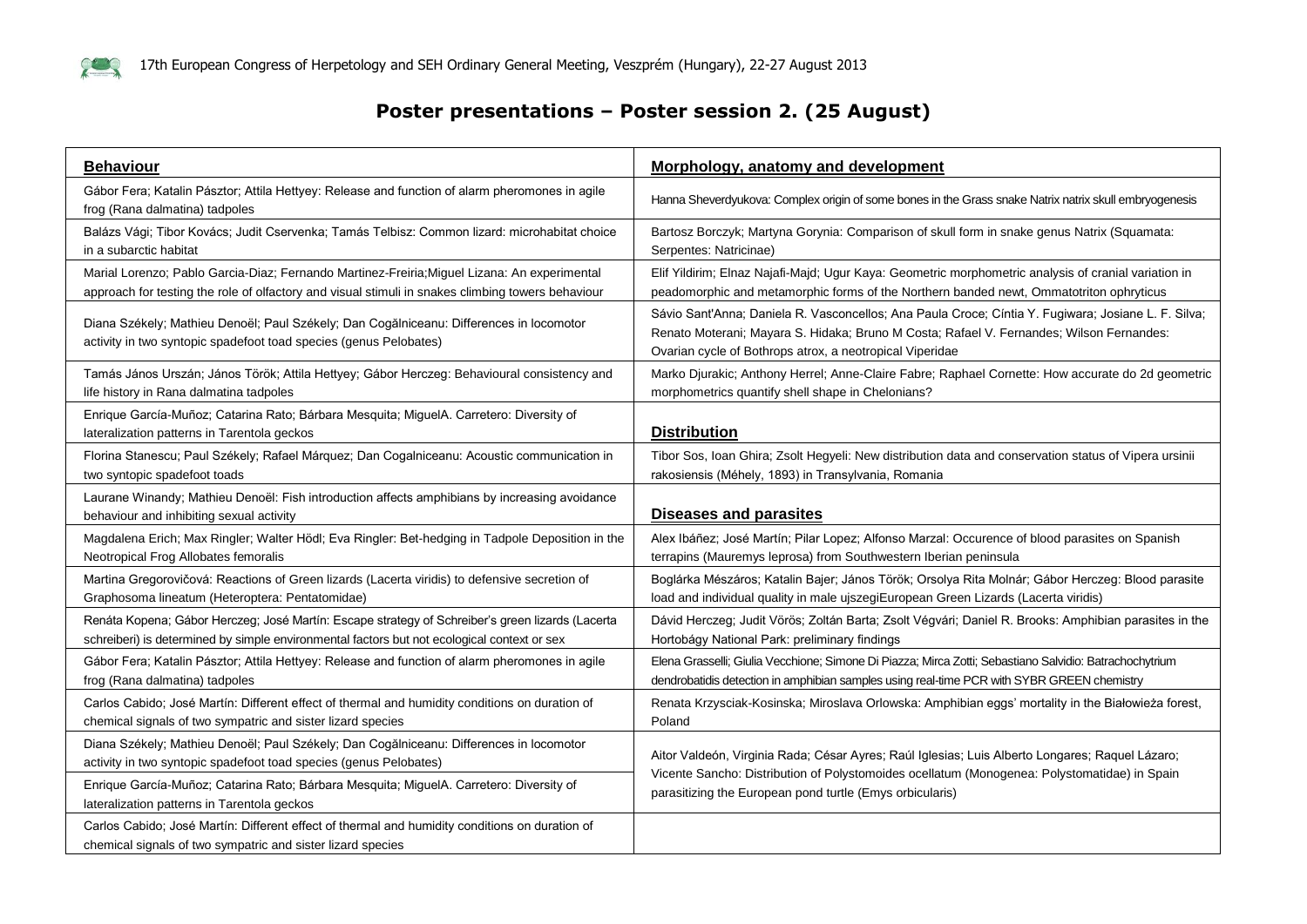

#### **Poster presentations – Poster session 2. (25 August)**

| <b>Behaviour</b>                                                                                                                                              | Morphology, anatomy and development                                                                                                                                                                                                                         |
|---------------------------------------------------------------------------------------------------------------------------------------------------------------|-------------------------------------------------------------------------------------------------------------------------------------------------------------------------------------------------------------------------------------------------------------|
| Gábor Fera; Katalin Pásztor; Attila Hettyey: Release and function of alarm pheromones in agile<br>frog (Rana dalmatina) tadpoles                              | Hanna Sheverdyukova: Complex origin of some bones in the Grass snake Natrix natrix skull embryogenesis                                                                                                                                                      |
| Balázs Vági; Tibor Kovács; Judit Cservenka; Tamás Telbisz: Common lizard: microhabitat choice                                                                 | Bartosz Borczyk; Martyna Gorynia: Comparison of skull form in snake genus Natrix (Squamata:                                                                                                                                                                 |
| in a subarctic habitat                                                                                                                                        | Serpentes: Natricinae)                                                                                                                                                                                                                                      |
| Marial Lorenzo; Pablo Garcia-Diaz; Fernando Martinez-Freiria; Miguel Lizana: An experimental                                                                  | Elif Yildirim; Elnaz Najafi-Majd; Ugur Kaya: Geometric morphometric analysis of cranial variation in                                                                                                                                                        |
| approach for testing the role of olfactory and visual stimuli in snakes climbing towers behaviour                                                             | peadomorphic and metamorphic forms of the Northern banded newt, Ommatotriton ophryticus                                                                                                                                                                     |
| Diana Székely; Mathieu Denoël; Paul Székely; Dan Cogălniceanu: Differences in locomotor<br>activity in two syntopic spadefoot toad species (genus Pelobates)  | Sávio Sant'Anna; Daniela R. Vasconcellos; Ana Paula Croce; Cíntia Y. Fugiwara; Josiane L. F. Silva;<br>Renato Moterani; Mayara S. Hidaka; Bruno M Costa; Rafael V. Fernandes; Wilson Fernandes:<br>Ovarian cycle of Bothrops atrox, a neotropical Viperidae |
| Tamás János Urszán; János Török; Attila Hettyey; Gábor Herczeg: Behavioural consistency and                                                                   | Marko Djurakic; Anthony Herrel; Anne-Claire Fabre; Raphael Cornette: How accurate do 2d geometric                                                                                                                                                           |
| life history in Rana dalmatina tadpoles                                                                                                                       | morphometrics quantify shell shape in Chelonians?                                                                                                                                                                                                           |
| Enrique García-Muñoz; Catarina Rato; Bárbara Mesquita; MiguelA. Carretero: Diversity of<br>lateralization patterns in Tarentola geckos                        | <b>Distribution</b>                                                                                                                                                                                                                                         |
| Florina Stanescu; Paul Székely; Rafael Márquez; Dan Cogalniceanu: Acoustic communication in                                                                   | Tibor Sos, Ioan Ghira; Zsolt Hegyeli: New distribution data and conservation status of Vipera ursinii                                                                                                                                                       |
| two syntopic spadefoot toads                                                                                                                                  | rakosiensis (Méhely, 1893) in Transylvania, Romania                                                                                                                                                                                                         |
| Laurane Winandy; Mathieu Denoël: Fish introduction affects amphibians by increasing avoidance<br>behaviour and inhibiting sexual activity                     | <b>Diseases and parasites</b>                                                                                                                                                                                                                               |
| Magdalena Erich; Max Ringler; Walter Hödl; Eva Ringler: Bet-hedging in Tadpole Deposition in the                                                              | Alex Ibáñez; José Martín; Pilar Lopez; Alfonso Marzal: Occurence of blood parasites on Spanish                                                                                                                                                              |
| Neotropical Frog Allobates femoralis                                                                                                                          | terrapins (Mauremys leprosa) from Southwestern Iberian peninsula                                                                                                                                                                                            |
| Martina Gregorovičová: Reactions of Green lizards (Lacerta viridis) to defensive secretion of                                                                 | Boglárka Mészáros; Katalin Bajer; János Török; Orsolya Rita Molnár; Gábor Herczeg: Blood parasite                                                                                                                                                           |
| Graphosoma lineatum (Heteroptera: Pentatomidae)                                                                                                               | load and individual quality in male ujszegiEuropean Green Lizards (Lacerta viridis)                                                                                                                                                                         |
| Renáta Kopena; Gábor Herczeg; José Martín: Escape strategy of Schreiber's green lizards (Lacerta                                                              | Dávid Herczeg; Judit Vörös; Zoltán Barta; Zsolt Végvári; Daniel R. Brooks: Amphibian parasites in the                                                                                                                                                       |
| schreiberi) is determined by simple environmental factors but not ecological context or sex                                                                   | Hortobágy National Park: preliminary findings                                                                                                                                                                                                               |
| Gábor Fera; Katalin Pásztor; Attila Hettyey: Release and function of alarm pheromones in agile                                                                | Elena Grasselli; Giulia Vecchione; Simone Di Piazza; Mirca Zotti; Sebastiano Salvidio: Batrachochytrium                                                                                                                                                     |
| frog (Rana dalmatina) tadpoles                                                                                                                                | dendrobatidis detection in amphibian samples using real-time PCR with SYBR GREEN chemistry                                                                                                                                                                  |
| Carlos Cabido; José Martín: Different effect of thermal and humidity conditions on duration of                                                                | Renata Krzysciak-Kosinska; Miroslava Orlowska: Amphibian eggs' mortality in the Białowieża forest,                                                                                                                                                          |
| chemical signals of two sympatric and sister lizard species                                                                                                   | Poland                                                                                                                                                                                                                                                      |
| Diana Székely; Mathieu Denoël; Paul Székely; Dan Cogălniceanu: Differences in locomotor<br>activity in two syntopic spadefoot toad species (genus Pelobates)  | Aitor Valdeón, Virginia Rada; César Ayres; Raúl Iglesias; Luis Alberto Longares; Raquel Lázaro;<br>Vicente Sancho: Distribution of Polystomoides ocellatum (Monogenea: Polystomatidae) in Spain<br>parasitizing the European pond turtle (Emys orbicularis) |
| Enrique García-Muñoz; Catarina Rato; Bárbara Mesquita; MiguelA. Carretero: Diversity of<br>lateralization patterns in Tarentola geckos                        |                                                                                                                                                                                                                                                             |
| Carlos Cabido; José Martín: Different effect of thermal and humidity conditions on duration of<br>chemical signals of two sympatric and sister lizard species |                                                                                                                                                                                                                                                             |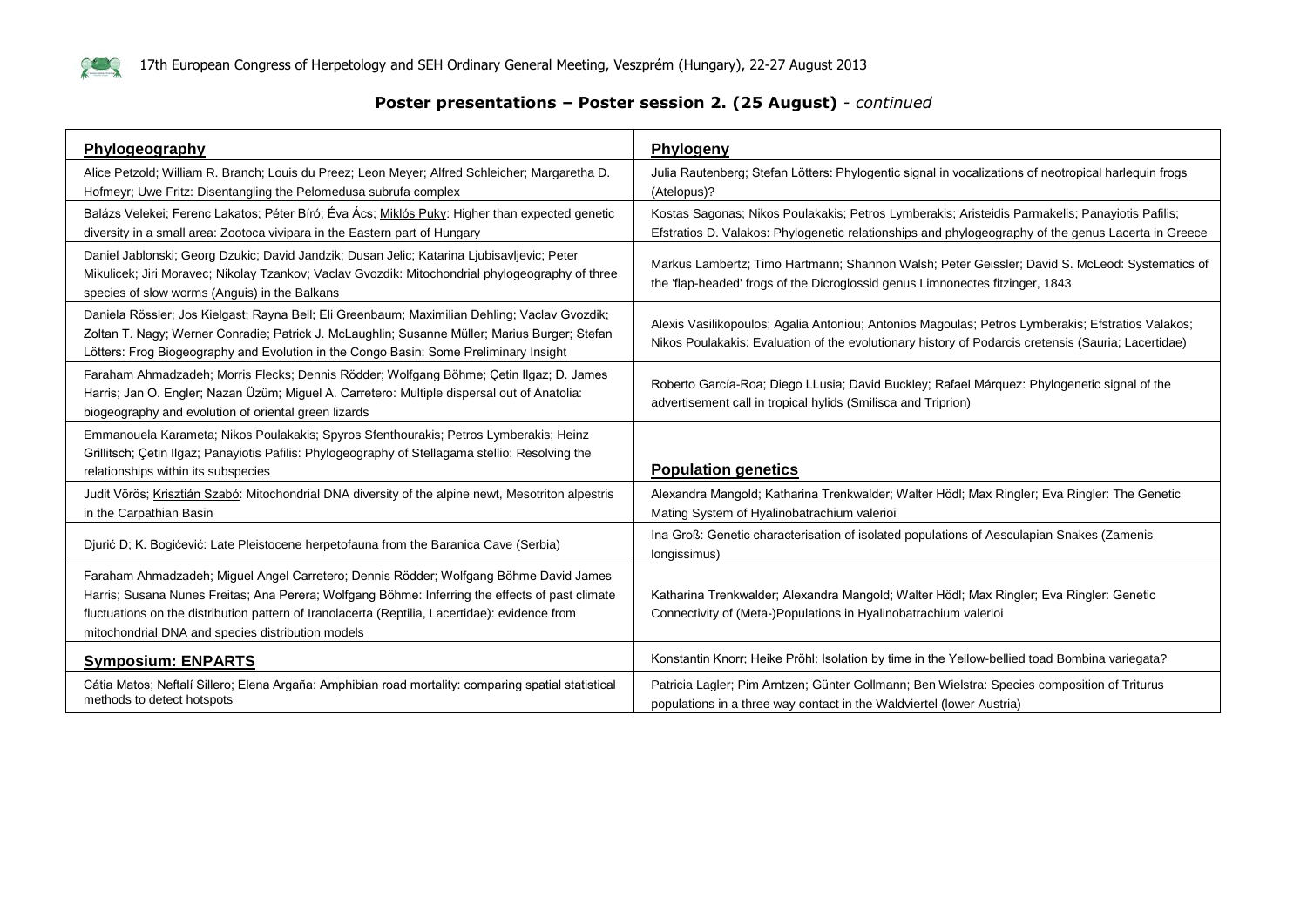

#### **Poster presentations – Poster session 2. (25 August)** *- continued*

| Phylogeography                                                                                                                                                                                                                                                                                                                                  | Phylogeny                                                                                                                                                                                                |
|-------------------------------------------------------------------------------------------------------------------------------------------------------------------------------------------------------------------------------------------------------------------------------------------------------------------------------------------------|----------------------------------------------------------------------------------------------------------------------------------------------------------------------------------------------------------|
| Alice Petzold; William R. Branch; Louis du Preez; Leon Meyer; Alfred Schleicher; Margaretha D.<br>Hofmeyr; Uwe Fritz: Disentangling the Pelomedusa subrufa complex                                                                                                                                                                              | Julia Rautenberg; Stefan Lötters: Phylogentic signal in vocalizations of neotropical harlequin frogs<br>(Atelopus)?                                                                                      |
| Balázs Velekei; Ferenc Lakatos; Péter Bíró; Éva Ács; Miklós Puky: Higher than expected genetic<br>diversity in a small area: Zootoca vivipara in the Eastern part of Hungary                                                                                                                                                                    | Kostas Sagonas; Nikos Poulakakis; Petros Lymberakis; Aristeidis Parmakelis; Panayiotis Pafilis;<br>Efstratios D. Valakos: Phylogenetic relationships and phylogeography of the genus Lacerta in Greece   |
| Daniel Jablonski; Georg Dzukic; David Jandzik; Dusan Jelic; Katarina Ljubisavljevic; Peter<br>Mikulicek; Jiri Moravec; Nikolay Tzankov; Vaclav Gvozdik: Mitochondrial phylogeography of three<br>species of slow worms (Anguis) in the Balkans                                                                                                  | Markus Lambertz; Timo Hartmann; Shannon Walsh; Peter Geissler; David S. McLeod: Systematics of<br>the 'flap-headed' frogs of the Dicroglossid genus Limnonectes fitzinger, 1843                          |
| Daniela Rössler; Jos Kielgast; Rayna Bell; Eli Greenbaum; Maximilian Dehling; Vaclav Gvozdik;<br>Zoltan T. Nagy; Werner Conradie; Patrick J. McLaughlin; Susanne Müller; Marius Burger; Stefan<br>Lötters: Frog Biogeography and Evolution in the Congo Basin: Some Preliminary Insight                                                         | Alexis Vasilikopoulos; Agalia Antoniou; Antonios Magoulas; Petros Lymberakis; Efstratios Valakos;<br>Nikos Poulakakis: Evaluation of the evolutionary history of Podarcis cretensis (Sauria; Lacertidae) |
| Faraham Ahmadzadeh; Morris Flecks; Dennis Rödder; Wolfgang Böhme; Çetin Ilgaz; D. James<br>Harris; Jan O. Engler; Nazan Üzüm; Miguel A. Carretero: Multiple dispersal out of Anatolia:<br>biogeography and evolution of oriental green lizards                                                                                                  | Roberto García-Roa; Diego LLusia; David Buckley; Rafael Márquez: Phylogenetic signal of the<br>advertisement call in tropical hylids (Smilisca and Triprion)                                             |
| Emmanouela Karameta; Nikos Poulakakis; Spyros Sfenthourakis; Petros Lymberakis; Heinz<br>Grillitsch; Çetin Ilgaz; Panayiotis Pafilis: Phylogeography of Stellagama stellio: Resolving the<br>relationships within its subspecies                                                                                                                | <b>Population genetics</b>                                                                                                                                                                               |
| Judit Vörös; Krisztián Szabó: Mitochondrial DNA diversity of the alpine newt, Mesotriton alpestris<br>in the Carpathian Basin                                                                                                                                                                                                                   | Alexandra Mangold; Katharina Trenkwalder; Walter Hödl; Max Ringler; Eva Ringler: The Genetic<br>Mating System of Hyalinobatrachium valerioi                                                              |
| Djurić D; K. Bogićević: Late Pleistocene herpetofauna from the Baranica Cave (Serbia)                                                                                                                                                                                                                                                           | Ina Groß: Genetic characterisation of isolated populations of Aesculapian Snakes (Zamenis<br>longissimus)                                                                                                |
| Faraham Ahmadzadeh; Miguel Angel Carretero; Dennis Rödder; Wolfgang Böhme David James<br>Harris; Susana Nunes Freitas; Ana Perera; Wolfgang Böhme: Inferring the effects of past climate<br>fluctuations on the distribution pattern of Iranolacerta (Reptilia, Lacertidae): evidence from<br>mitochondrial DNA and species distribution models | Katharina Trenkwalder; Alexandra Mangold; Walter Hödl; Max Ringler; Eva Ringler: Genetic<br>Connectivity of (Meta-)Populations in Hyalinobatrachium valerioi                                             |
| <b>Symposium: ENPARTS</b>                                                                                                                                                                                                                                                                                                                       | Konstantin Knorr; Heike Pröhl: Isolation by time in the Yellow-bellied toad Bombina variegata?                                                                                                           |
| Cátia Matos; Neftalí Sillero; Elena Argaña: Amphibian road mortality: comparing spatial statistical<br>methods to detect hotspots                                                                                                                                                                                                               | Patricia Lagler; Pim Arntzen; Günter Gollmann; Ben Wielstra: Species composition of Triturus<br>populations in a three way contact in the Waldviertel (lower Austria)                                    |